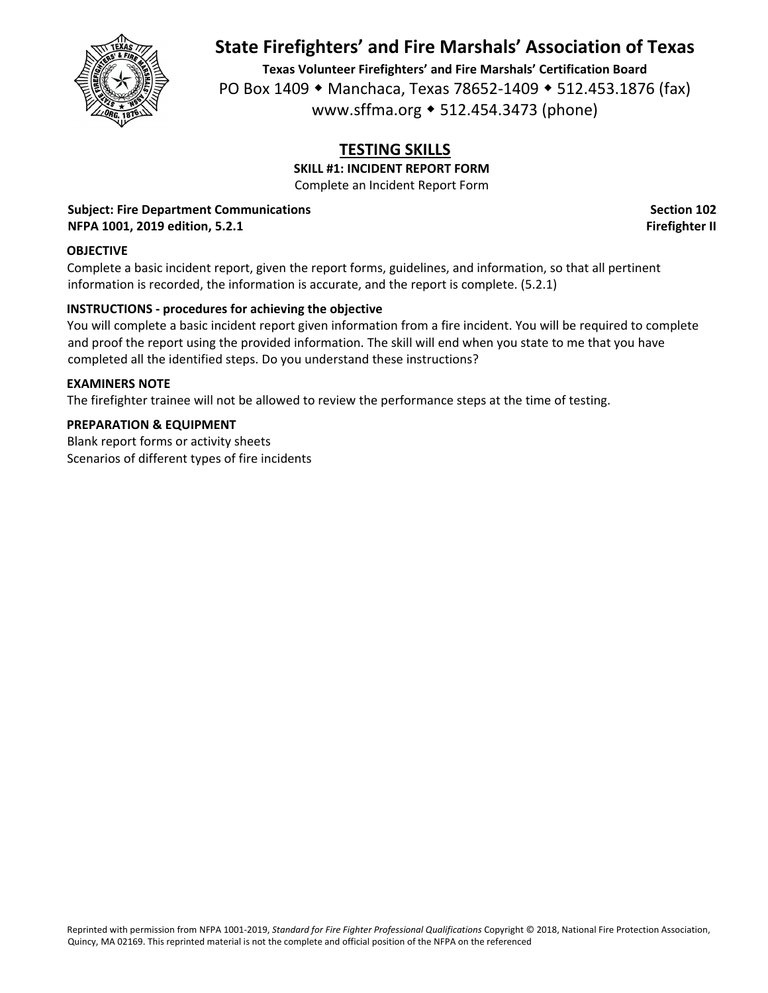

**Texas Volunteer Firefighters' and Fire Marshals' Certification Board** PO Box 1409 • Manchaca, Texas 78652-1409 • 512.453.1876 (fax) www.sffma.org 512.454.3473 (phone)

# **TESTING SKILLS**

**SKILL #1: INCIDENT REPORT FORM**

Complete an Incident Report Form

#### **Subject: Fire Department Communications Section 102 NFPA 1001, 2019 edition, 5.2.1 Firefighter II**

## **OBJECTIVE**

Complete a basic incident report, given the report forms, guidelines, and information, so that all pertinent information is recorded, the information is accurate, and the report is complete. (5.2.1)

### **INSTRUCTIONS ‐ procedures for achieving the objective**

You will complete a basic incident report given information from a fire incident. You will be required to complete and proof the report using the provided information. The skill will end when you state to me that you have completed all the identified steps. Do you understand these instructions?

#### **EXAMINERS NOTE**

The firefighter trainee will not be allowed to review the performance steps at the time of testing.

#### **PREPARATION & EQUIPMENT**

Blank report forms or activity sheets Scenarios of different types of fire incidents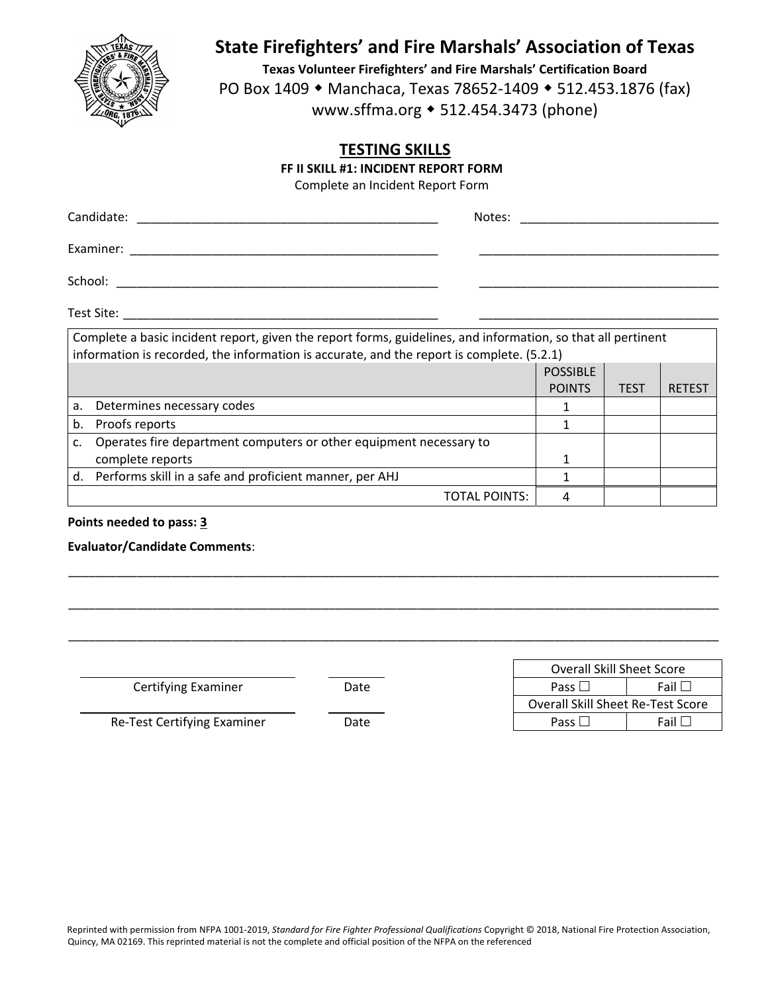

**Texas Volunteer Firefighters' and Fire Marshals' Certification Board** PO Box 1409 • Manchaca, Texas 78652-1409 • 512.453.1876 (fax) www.sffma.org 512.454.3473 (phone)

## **TESTING SKILLS**

**FF II SKILL #1: INCIDENT REPORT FORM**

Complete an Incident Report Form

| Candidate: | Notes: |
|------------|--------|
| Examiner:  |        |
| School:    |        |
| Test Site: |        |

|    | Complete a basic incident report, given the report forms, guidelines, and information, so that all pertinent<br>information is recorded, the information is accurate, and the report is complete. (5.2.1) |               |      |               |  |
|----|-----------------------------------------------------------------------------------------------------------------------------------------------------------------------------------------------------------|---------------|------|---------------|--|
|    | <b>POSSIBLE</b>                                                                                                                                                                                           |               |      |               |  |
|    |                                                                                                                                                                                                           | <b>POINTS</b> | TEST | <b>RETEST</b> |  |
| a. | Determines necessary codes                                                                                                                                                                                |               |      |               |  |
| b. | Proofs reports                                                                                                                                                                                            |               |      |               |  |
|    | Operates fire department computers or other equipment necessary to                                                                                                                                        |               |      |               |  |
|    | complete reports                                                                                                                                                                                          |               |      |               |  |
| d. | Performs skill in a safe and proficient manner, per AHJ                                                                                                                                                   |               |      |               |  |
|    | TOTAL POINTS:                                                                                                                                                                                             |               |      |               |  |

\_\_\_\_\_\_\_\_\_\_\_\_\_\_\_\_\_\_\_\_\_\_\_\_\_\_\_\_\_\_\_\_\_\_\_\_\_\_\_\_\_\_\_\_\_\_\_\_\_\_\_\_\_\_\_\_\_\_\_\_\_\_\_\_\_\_\_\_\_\_\_\_\_\_\_\_\_\_\_\_\_\_\_\_\_\_\_\_\_\_\_\_\_\_\_

\_\_\_\_\_\_\_\_\_\_\_\_\_\_\_\_\_\_\_\_\_\_\_\_\_\_\_\_\_\_\_\_\_\_\_\_\_\_\_\_\_\_\_\_\_\_\_\_\_\_\_\_\_\_\_\_\_\_\_\_\_\_\_\_\_\_\_\_\_\_\_\_\_\_\_\_\_\_\_\_\_\_\_\_\_\_\_\_\_\_\_\_\_\_\_

\_\_\_\_\_\_\_\_\_\_\_\_\_\_\_\_\_\_\_\_\_\_\_\_\_\_\_\_\_\_\_\_\_\_\_\_\_\_\_\_\_\_\_\_\_\_\_\_\_\_\_\_\_\_\_\_\_\_\_\_\_\_\_\_\_\_\_\_\_\_\_\_\_\_\_\_\_\_\_\_\_\_\_\_\_\_\_\_\_\_\_\_\_\_\_

#### **Points needed to pass: 3**

#### **Evaluator/Candidate Comments**:

**Certifying Examiner Date** 

|               |      | <b>Overall Skill Sheet Score</b>         |
|---------------|------|------------------------------------------|
| Examiner      | Date | Fail<br>Pass                             |
|               |      | <b>Overall Skill Sheet Re-Test Score</b> |
| ying Examiner | Date | - Fail L⊾<br>Pass $\square$              |

Re‐Test Certifying Examiner Date Pass Fail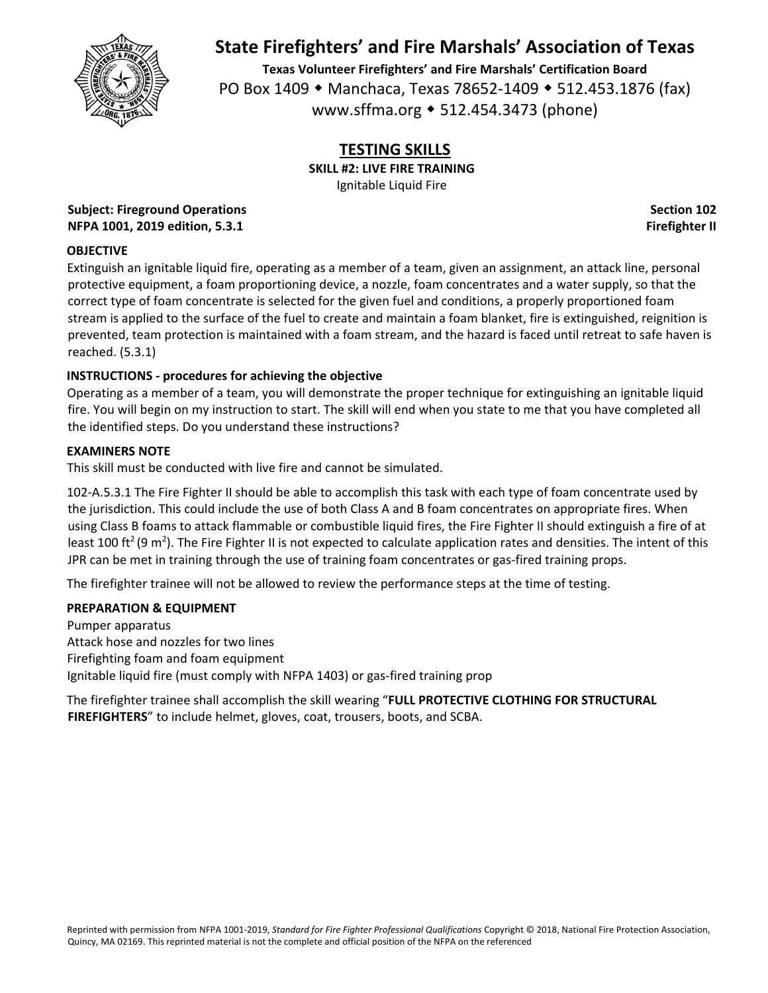

**Texas Volunteer Firefighters' and Fire Marshals' Certification Board** PO Box 1409 • Manchaca, Texas 78652-1409 • 512.453.1876 (fax) www.sffma.org 512.454.3473 (phone)

# **TESTING SKILLS**

**SKILL #2: LIVE FIRE TRAINING**

Ignitable Liquid Fire

**Subject: Fireground Operations Section 102 NFPA 1001, 2019 edition, 5.3.1 Firefighter II**

## **OBJECTIVE**

Extinguish an ignitable liquid fire, operating as a member of a team, given an assignment, an attack line, personal protective equipment, a foam proportioning device, a nozzle, foam concentrates and a water supply, so that the correct type of foam concentrate is selected for the given fuel and conditions, a properly proportioned foam stream is applied to the surface of the fuel to create and maintain a foam blanket, fire is extinguished, reignition is prevented, team protection is maintained with a foam stream, and the hazard is faced until retreat to safe haven is reached. (5.3.1)

## **INSTRUCTIONS ‐ procedures for achieving the objective**

Operating as a member of a team, you will demonstrate the proper technique for extinguishing an ignitable liquid fire. You will begin on my instruction to start. The skill will end when you state to me that you have completed all the identified steps. Do you understand these instructions?

## **EXAMINERS NOTE**

This skill must be conducted with live fire and cannot be simulated.

102‐A.5.3.1 The Fire Fighter II should be able to accomplish this task with each type of foam concentrate used by the jurisdiction. This could include the use of both Class A and B foam concentrates on appropriate fires. When using Class B foams to attack flammable or combustible liquid fires, the Fire Fighter II should extinguish a fire of at least 100 ft<sup>2</sup> (9 m<sup>2</sup>). The Fire Fighter II is not expected to calculate application rates and densities. The intent of this JPR can be met in training through the use of training foam concentrates or gas-fired training props.

The firefighter trainee will not be allowed to review the performance steps at the time of testing.

## **PREPARATION & EQUIPMENT**

Pumper apparatus Attack hose and nozzles for two lines Firefighting foam and foam equipment Ignitable liquid fire (must comply with NFPA 1403) or gas‐fired training prop

The firefighter trainee shall accomplish the skill wearing "**FULL PROTECTIVE CLOTHING FOR STRUCTURAL FIREFIGHTERS**" to include helmet, gloves, coat, trousers, boots, and SCBA.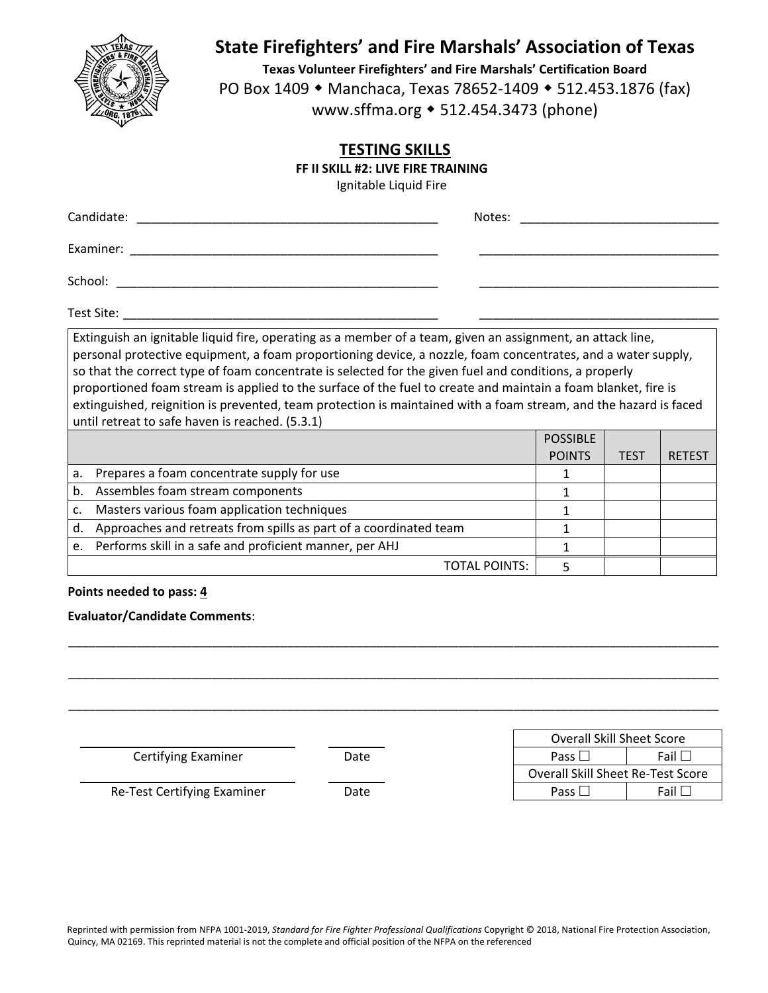

**Texas Volunteer Firefighters' and Fire Marshals' Certification Board** PO Box 1409 • Manchaca, Texas 78652-1409 • 512.453.1876 (fax) www.sffma.org 512.454.3473 (phone)

## **TESTING SKILLS**

**FF II SKILL #2: LIVE FIRE TRAINING**

Ignitable Liquid Fire

| Candidate: | Notes: |
|------------|--------|
| Examiner:  |        |
| School:    |        |

Test Site: \_\_\_\_\_\_\_\_\_\_\_\_\_\_\_\_\_\_\_\_\_\_\_\_\_\_\_\_\_\_\_\_\_\_\_\_\_\_\_\_\_\_\_\_\_\_ \_\_\_\_\_\_\_\_\_\_\_\_\_\_\_\_\_\_\_\_\_\_\_\_\_\_\_\_\_\_\_\_\_\_\_

Extinguish an ignitable liquid fire, operating as a member of a team, given an assignment, an attack line, personal protective equipment, a foam proportioning device, a nozzle, foam concentrates, and a water supply, so that the correct type of foam concentrate is selected for the given fuel and conditions, a properly proportioned foam stream is applied to the surface of the fuel to create and maintain a foam blanket, fire is extinguished, reignition is prevented, team protection is maintained with a foam stream, and the hazard is faced until retreat to safe haven is reached. (5.3.1)

|    |                                                                   | <b>POSSIBLE</b> |             |               |
|----|-------------------------------------------------------------------|-----------------|-------------|---------------|
|    |                                                                   | <b>POINTS</b>   | <b>TEST</b> | <b>RETEST</b> |
|    | a. Prepares a foam concentrate supply for use                     |                 |             |               |
| b. | Assembles foam stream components                                  |                 |             |               |
| c. | Masters various foam application techniques                       |                 |             |               |
| d. | Approaches and retreats from spills as part of a coordinated team |                 |             |               |
|    | e. Performs skill in a safe and proficient manner, per AHJ        |                 |             |               |
|    | TOTAL POINTS:                                                     |                 |             |               |

## **Points needed to pass: 4**

## **Evaluator/Candidate Comments**:

|                             |      | Overall Skill Sheet Score                |
|-----------------------------|------|------------------------------------------|
| Certifying Examiner         | Date | Fail $\square$<br>Pass $\Box$            |
|                             |      | <b>Overall Skill Sheet Re-Test Score</b> |
| Re-Test Certifying Examiner | Date | Fail $\Box$<br>Pass $\square$            |

\_\_\_\_\_\_\_\_\_\_\_\_\_\_\_\_\_\_\_\_\_\_\_\_\_\_\_\_\_\_\_\_\_\_\_\_\_\_\_\_\_\_\_\_\_\_\_\_\_\_\_\_\_\_\_\_\_\_\_\_\_\_\_\_\_\_\_\_\_\_\_\_\_\_\_\_\_\_\_\_\_\_\_\_\_\_\_\_\_\_\_\_\_\_\_

\_\_\_\_\_\_\_\_\_\_\_\_\_\_\_\_\_\_\_\_\_\_\_\_\_\_\_\_\_\_\_\_\_\_\_\_\_\_\_\_\_\_\_\_\_\_\_\_\_\_\_\_\_\_\_\_\_\_\_\_\_\_\_\_\_\_\_\_\_\_\_\_\_\_\_\_\_\_\_\_\_\_\_\_\_\_\_\_\_\_\_\_\_\_\_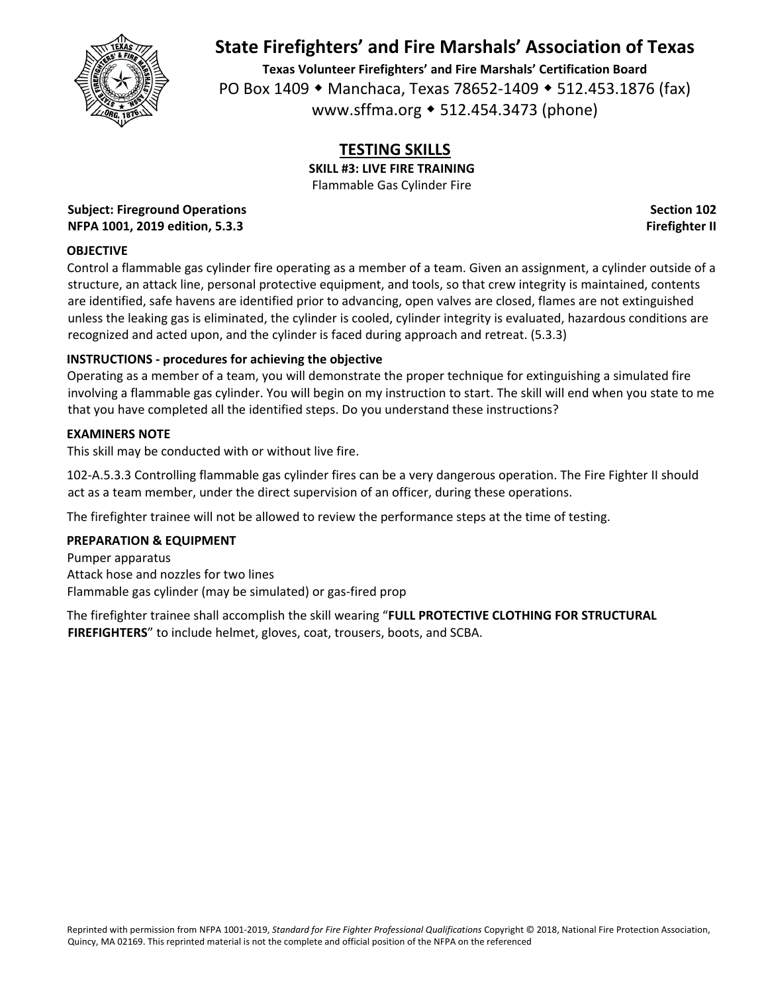

**Texas Volunteer Firefighters' and Fire Marshals' Certification Board** PO Box 1409 • Manchaca, Texas 78652-1409 • 512.453.1876 (fax) www.sffma.org 512.454.3473 (phone)

## **TESTING SKILLS**

**SKILL #3: LIVE FIRE TRAINING** Flammable Gas Cylinder Fire

**Subject: Fireground Operations Section 102 NFPA 1001, 2019 edition, 5.3.3 Firefighter II**

## **OBJECTIVE**

Control a flammable gas cylinder fire operating as a member of a team. Given an assignment, a cylinder outside of a structure, an attack line, personal protective equipment, and tools, so that crew integrity is maintained, contents are identified, safe havens are identified prior to advancing, open valves are closed, flames are not extinguished unless the leaking gas is eliminated, the cylinder is cooled, cylinder integrity is evaluated, hazardous conditions are recognized and acted upon, and the cylinder is faced during approach and retreat. (5.3.3)

## **INSTRUCTIONS ‐ procedures for achieving the objective**

Operating as a member of a team, you will demonstrate the proper technique for extinguishing a simulated fire involving a flammable gas cylinder. You will begin on my instruction to start. The skill will end when you state to me that you have completed all the identified steps. Do you understand these instructions?

## **EXAMINERS NOTE**

This skill may be conducted with or without live fire.

102‐A.5.3.3 Controlling flammable gas cylinder fires can be a very dangerous operation. The Fire Fighter II should act as a team member, under the direct supervision of an officer, during these operations.

The firefighter trainee will not be allowed to review the performance steps at the time of testing.

## **PREPARATION & EQUIPMENT**

Pumper apparatus Attack hose and nozzles for two lines Flammable gas cylinder (may be simulated) or gas‐fired prop

The firefighter trainee shall accomplish the skill wearing "**FULL PROTECTIVE CLOTHING FOR STRUCTURAL FIREFIGHTERS**" to include helmet, gloves, coat, trousers, boots, and SCBA.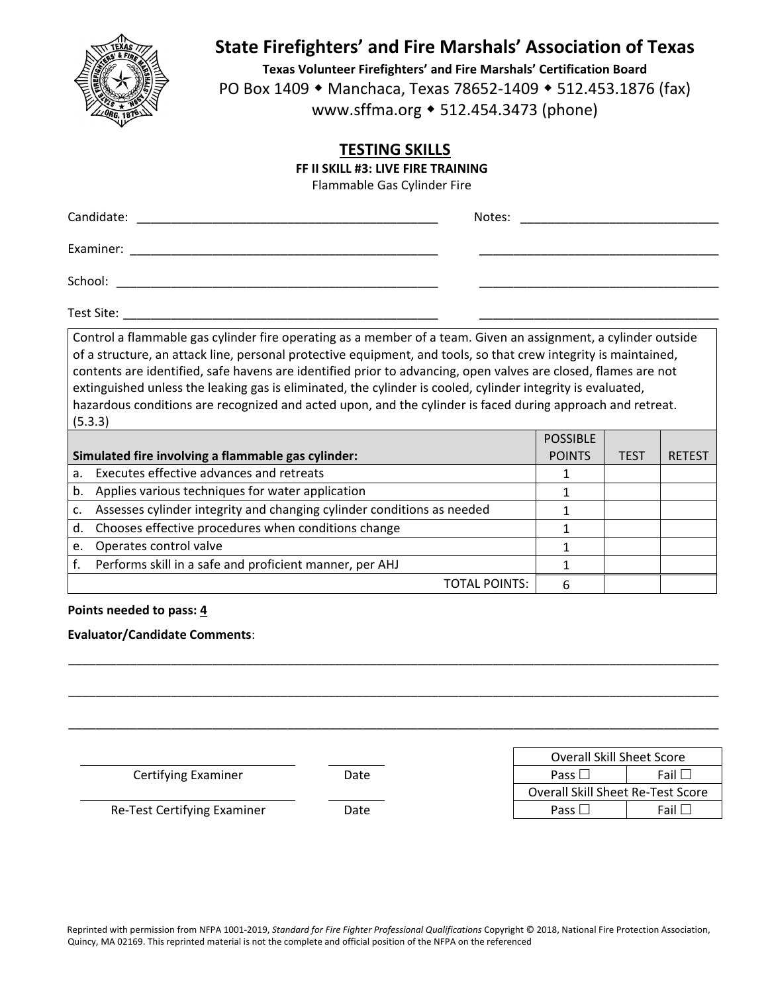

**Texas Volunteer Firefighters' and Fire Marshals' Certification Board** PO Box 1409 • Manchaca, Texas 78652-1409 • 512.453.1876 (fax) www.sffma.org 512.454.3473 (phone)

## **TESTING SKILLS**

**FF II SKILL #3: LIVE FIRE TRAINING**

Flammable Gas Cylinder Fire

| Candidate: | Notes: |
|------------|--------|
| Examiner:  |        |
| School:    |        |

Test Site: \_\_\_\_\_\_\_\_\_\_\_\_\_\_\_\_\_\_\_\_\_\_\_\_\_\_\_\_\_\_\_\_\_\_\_\_\_\_\_\_\_\_\_\_\_\_ \_\_\_\_\_\_\_\_\_\_\_\_\_\_\_\_\_\_\_\_\_\_\_\_\_\_\_\_\_\_\_\_\_\_\_

Control a flammable gas cylinder fire operating as a member of a team. Given an assignment, a cylinder outside of a structure, an attack line, personal protective equipment, and tools, so that crew integrity is maintained, contents are identified, safe havens are identified prior to advancing, open valves are closed, flames are not extinguished unless the leaking gas is eliminated, the cylinder is cooled, cylinder integrity is evaluated, hazardous conditions are recognized and acted upon, and the cylinder is faced during approach and retreat. (5.3.3)

|    |                                                                        | <b>POSSIBLE</b> |      |               |
|----|------------------------------------------------------------------------|-----------------|------|---------------|
|    | Simulated fire involving a flammable gas cylinder:                     | <b>POINTS</b>   | TEST | <b>RETEST</b> |
| a. | Executes effective advances and retreats                               |                 |      |               |
| b. | Applies various techniques for water application                       |                 |      |               |
|    | Assesses cylinder integrity and changing cylinder conditions as needed |                 |      |               |
| d. | Chooses effective procedures when conditions change                    |                 |      |               |
| e. | Operates control valve                                                 |                 |      |               |
|    | Performs skill in a safe and proficient manner, per AHJ                |                 |      |               |
|    | TOTAL POINTS:                                                          | 6               |      |               |

## **Points needed to pass: 4**

## **Evaluator/Candidate Comments**:

|                             |      | <b>Overall Skill Sheet Score</b>  |             |
|-----------------------------|------|-----------------------------------|-------------|
| <b>Certifying Examiner</b>  | Date | Pass $\Box$                       | Fail $\Box$ |
|                             |      | Overall Skill Sheet Re-Test Score |             |
| Re-Test Certifying Examiner | Date | Pass $\Box$                       | Fail $\Box$ |
|                             |      |                                   |             |

\_\_\_\_\_\_\_\_\_\_\_\_\_\_\_\_\_\_\_\_\_\_\_\_\_\_\_\_\_\_\_\_\_\_\_\_\_\_\_\_\_\_\_\_\_\_\_\_\_\_\_\_\_\_\_\_\_\_\_\_\_\_\_\_\_\_\_\_\_\_\_\_\_\_\_\_\_\_\_\_\_\_\_\_\_\_\_\_\_\_\_\_\_\_\_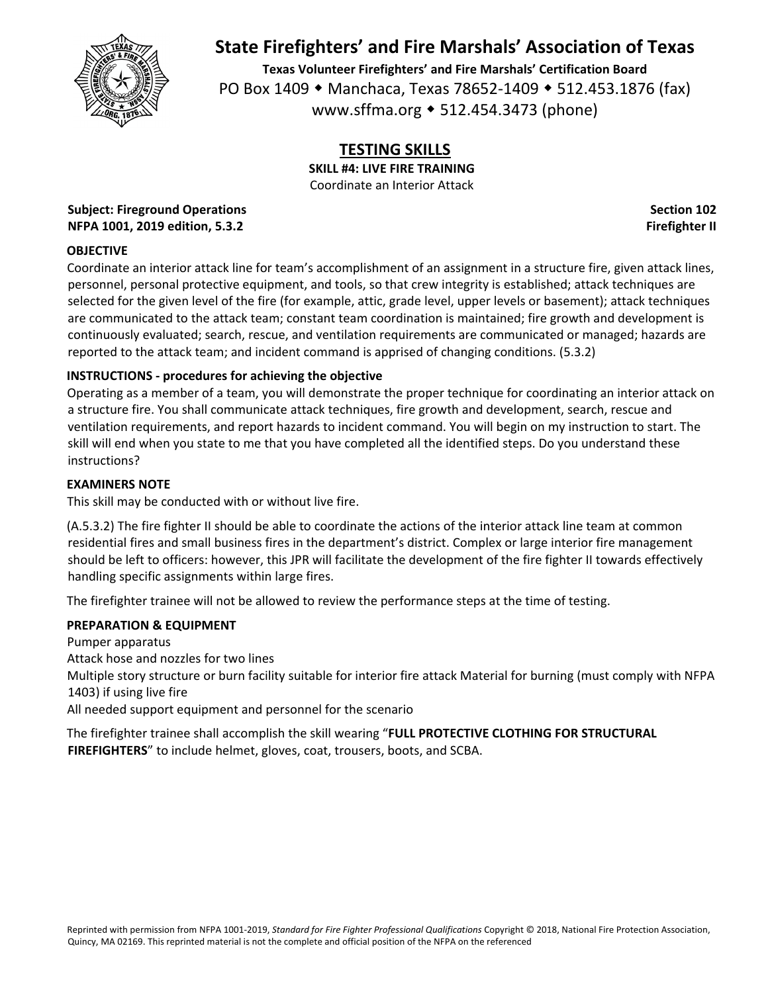

**Texas Volunteer Firefighters' and Fire Marshals' Certification Board** PO Box 1409 • Manchaca, Texas 78652-1409 • 512.453.1876 (fax) www.sffma.org 512.454.3473 (phone)

## **TESTING SKILLS**

**SKILL #4: LIVE FIRE TRAINING** Coordinate an Interior Attack

**Subject: Fireground Operations Section 102 NFPA 1001, 2019 edition, 5.3.2 Firefighter II**

## **OBJECTIVE**

Coordinate an interior attack line for team's accomplishment of an assignment in a structure fire, given attack lines, personnel, personal protective equipment, and tools, so that crew integrity is established; attack techniques are selected for the given level of the fire (for example, attic, grade level, upper levels or basement); attack techniques are communicated to the attack team; constant team coordination is maintained; fire growth and development is continuously evaluated; search, rescue, and ventilation requirements are communicated or managed; hazards are reported to the attack team; and incident command is apprised of changing conditions. (5.3.2)

## **INSTRUCTIONS ‐ procedures for achieving the objective**

Operating as a member of a team, you will demonstrate the proper technique for coordinating an interior attack on a structure fire. You shall communicate attack techniques, fire growth and development, search, rescue and ventilation requirements, and report hazards to incident command. You will begin on my instruction to start. The skill will end when you state to me that you have completed all the identified steps. Do you understand these instructions?

## **EXAMINERS NOTE**

This skill may be conducted with or without live fire.

(A.5.3.2) The fire fighter II should be able to coordinate the actions of the interior attack line team at common residential fires and small business fires in the department's district. Complex or large interior fire management should be left to officers: however, this JPR will facilitate the development of the fire fighter II towards effectively handling specific assignments within large fires.

The firefighter trainee will not be allowed to review the performance steps at the time of testing.

## **PREPARATION & EQUIPMENT**

Pumper apparatus Attack hose and nozzles for two lines

Multiple story structure or burn facility suitable for interior fire attack Material for burning (must comply with NFPA 1403) if using live fire

All needed support equipment and personnel for the scenario

The firefighter trainee shall accomplish the skill wearing "**FULL PROTECTIVE CLOTHING FOR STRUCTURAL FIREFIGHTERS**" to include helmet, gloves, coat, trousers, boots, and SCBA.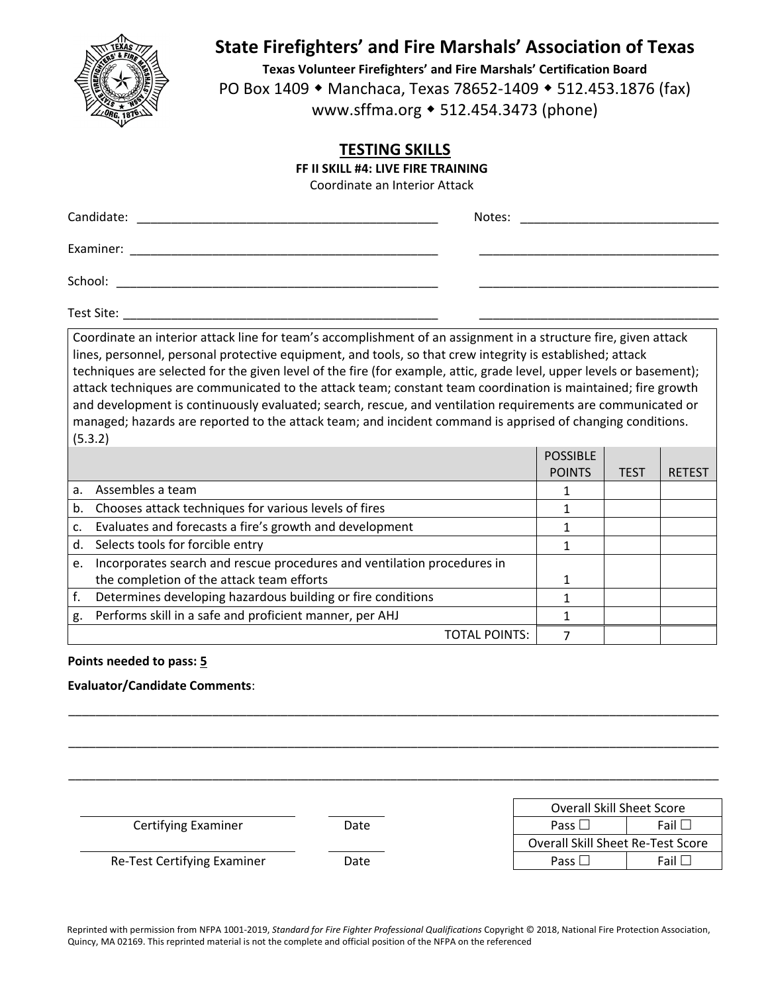

**Texas Volunteer Firefighters' and Fire Marshals' Certification Board** PO Box 1409 • Manchaca, Texas 78652-1409 • 512.453.1876 (fax) www.sffma.org 512.454.3473 (phone)

## **TESTING SKILLS**

**FF II SKILL #4: LIVE FIRE TRAINING**

Coordinate an Interior Attack

| Candidate: | Notes: |
|------------|--------|
| Examiner:  |        |
| School:    |        |

Test Site: \_\_\_\_\_\_\_\_\_\_\_\_\_\_\_\_\_\_\_\_\_\_\_\_\_\_\_\_\_\_\_\_\_\_\_\_\_\_\_\_\_\_\_\_\_\_ \_\_\_\_\_\_\_\_\_\_\_\_\_\_\_\_\_\_\_\_\_\_\_\_\_\_\_\_\_\_\_\_\_\_\_

Coordinate an interior attack line for team's accomplishment of an assignment in a structure fire, given attack lines, personnel, personal protective equipment, and tools, so that crew integrity is established; attack techniques are selected for the given level of the fire (for example, attic, grade level, upper levels or basement); attack techniques are communicated to the attack team; constant team coordination is maintained; fire growth and development is continuously evaluated; search, rescue, and ventilation requirements are communicated or managed; hazards are reported to the attack team; and incident command is apprised of changing conditions. (5.3.2)

|                |                                                                         | <b>POSSIBLE</b> |             |               |
|----------------|-------------------------------------------------------------------------|-----------------|-------------|---------------|
|                |                                                                         | <b>POINTS</b>   | <b>TEST</b> | <b>RETEST</b> |
| a <sub>z</sub> | Assembles a team                                                        |                 |             |               |
| b.             | Chooses attack techniques for various levels of fires                   |                 |             |               |
| c.             | Evaluates and forecasts a fire's growth and development                 |                 |             |               |
| d.             | Selects tools for forcible entry                                        |                 |             |               |
| e.             | Incorporates search and rescue procedures and ventilation procedures in |                 |             |               |
|                | the completion of the attack team efforts                               |                 |             |               |
|                | Determines developing hazardous building or fire conditions             |                 |             |               |
| g.             | Performs skill in a safe and proficient manner, per AHJ                 |                 |             |               |
|                | TOTAL POINTS:                                                           |                 |             |               |

\_\_\_\_\_\_\_\_\_\_\_\_\_\_\_\_\_\_\_\_\_\_\_\_\_\_\_\_\_\_\_\_\_\_\_\_\_\_\_\_\_\_\_\_\_\_\_\_\_\_\_\_\_\_\_\_\_\_\_\_\_\_\_\_\_\_\_\_\_\_\_\_\_\_\_\_\_\_\_\_\_\_\_\_\_\_\_\_\_\_\_\_\_\_\_

\_\_\_\_\_\_\_\_\_\_\_\_\_\_\_\_\_\_\_\_\_\_\_\_\_\_\_\_\_\_\_\_\_\_\_\_\_\_\_\_\_\_\_\_\_\_\_\_\_\_\_\_\_\_\_\_\_\_\_\_\_\_\_\_\_\_\_\_\_\_\_\_\_\_\_\_\_\_\_\_\_\_\_\_\_\_\_\_\_\_\_\_\_\_\_

\_\_\_\_\_\_\_\_\_\_\_\_\_\_\_\_\_\_\_\_\_\_\_\_\_\_\_\_\_\_\_\_\_\_\_\_\_\_\_\_\_\_\_\_\_\_\_\_\_\_\_\_\_\_\_\_\_\_\_\_\_\_\_\_\_\_\_\_\_\_\_\_\_\_\_\_\_\_\_\_\_\_\_\_\_\_\_\_\_\_\_\_\_\_\_

#### **Points needed to pass: 5**

#### **Evaluator/Candidate Comments**:

 Overall Skill Sheet Score **Certifying Examiner Date Date Fail Pass Fail Fail**  Overall Skill Sheet Re‐Test Score Re-Test Certifying Examiner **Date Date Fail Pass** Fail Fail Fail

Reprinted with permission from NFPA 1001‐2019, *Standard for Fire Fighter Professional Qualifications* Copyright © 2018, National Fire Protection Association, Quincy, MA 02169. This reprinted material is not the complete and official position of the NFPA on the referenced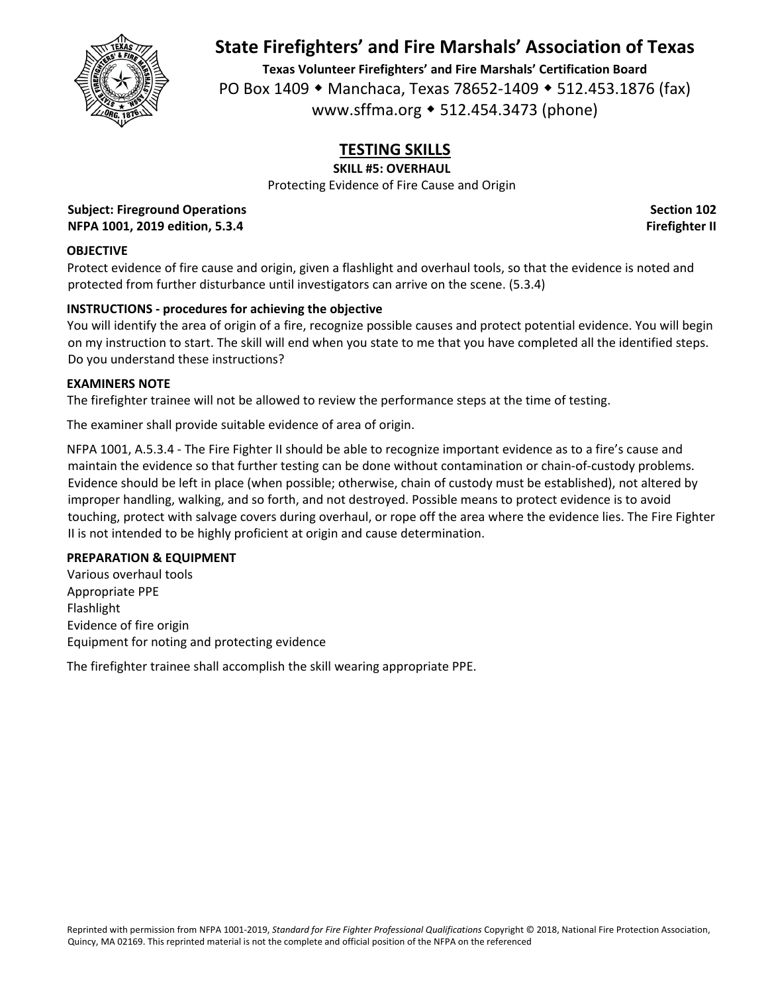

**Texas Volunteer Firefighters' and Fire Marshals' Certification Board** PO Box 1409 • Manchaca, Texas 78652-1409 • 512.453.1876 (fax) www.sffma.org 512.454.3473 (phone)

# **TESTING SKILLS**

### **SKILL #5: OVERHAUL**

Protecting Evidence of Fire Cause and Origin

**Subject: Fireground Operations Section 102 NFPA 1001, 2019 edition, 5.3.4 Firefighter II**

### **OBJECTIVE**

Protect evidence of fire cause and origin, given a flashlight and overhaul tools, so that the evidence is noted and protected from further disturbance until investigators can arrive on the scene. (5.3.4)

## **INSTRUCTIONS ‐ procedures for achieving the objective**

You will identify the area of origin of a fire, recognize possible causes and protect potential evidence. You will begin on my instruction to start. The skill will end when you state to me that you have completed all the identified steps. Do you understand these instructions?

#### **EXAMINERS NOTE**

The firefighter trainee will not be allowed to review the performance steps at the time of testing.

The examiner shall provide suitable evidence of area of origin.

NFPA 1001, A.5.3.4 ‐ The Fire Fighter II should be able to recognize important evidence as to a fire's cause and maintain the evidence so that further testing can be done without contamination or chain‐of‐custody problems. Evidence should be left in place (when possible; otherwise, chain of custody must be established), not altered by improper handling, walking, and so forth, and not destroyed. Possible means to protect evidence is to avoid touching, protect with salvage covers during overhaul, or rope off the area where the evidence lies. The Fire Fighter II is not intended to be highly proficient at origin and cause determination.

#### **PREPARATION & EQUIPMENT**

Various overhaul tools Appropriate PPE Flashlight Evidence of fire origin Equipment for noting and protecting evidence

The firefighter trainee shall accomplish the skill wearing appropriate PPE.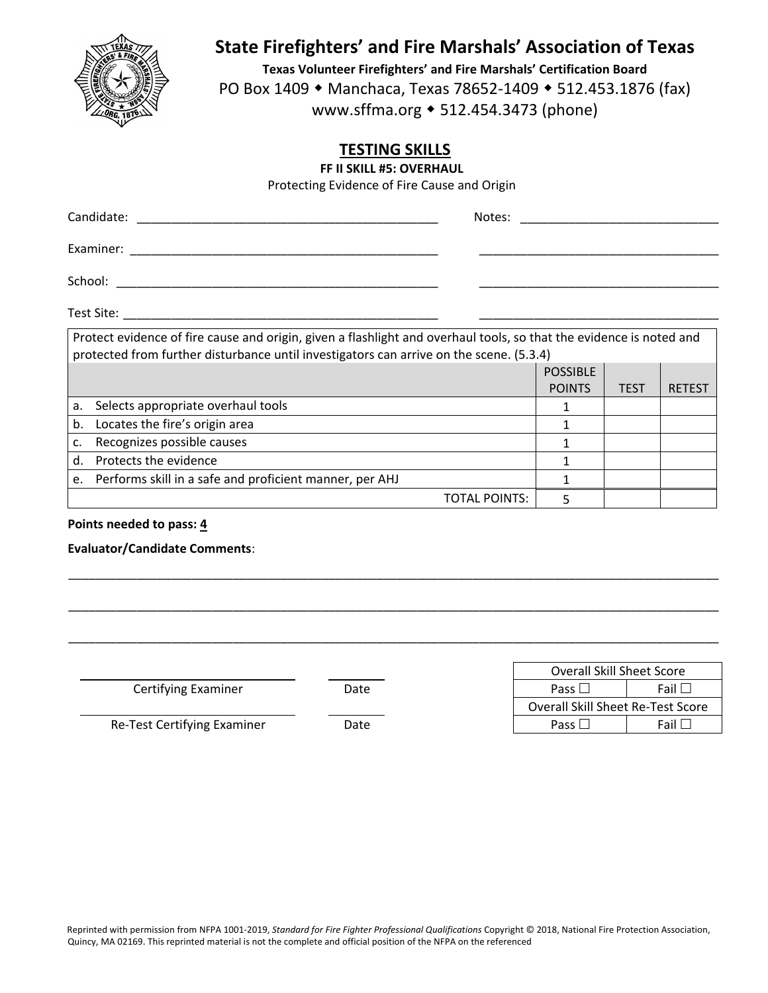

**Texas Volunteer Firefighters' and Fire Marshals' Certification Board** PO Box 1409 • Manchaca, Texas 78652-1409 • 512.453.1876 (fax) www.sffma.org 512.454.3473 (phone)

## **TESTING SKILLS**

**FF II SKILL #5: OVERHAUL**

Protecting Evidence of Fire Cause and Origin

| Candidate: |                                                                                                                                                                                                                |  |                 |  |
|------------|----------------------------------------------------------------------------------------------------------------------------------------------------------------------------------------------------------------|--|-----------------|--|
|            |                                                                                                                                                                                                                |  |                 |  |
| School:    |                                                                                                                                                                                                                |  |                 |  |
| Test Site: |                                                                                                                                                                                                                |  |                 |  |
|            | Protect evidence of fire cause and origin, given a flashlight and overhaul tools, so that the evidence is noted and<br>protected from further disturbance until investigators can arrive on the scene. (5.3.4) |  |                 |  |
|            |                                                                                                                                                                                                                |  | <b>POSSIBLE</b> |  |

|    |                                                            | <b>POSSIBLE</b> |             |               |
|----|------------------------------------------------------------|-----------------|-------------|---------------|
|    |                                                            | <b>POINTS</b>   | <b>TEST</b> | <b>RETEST</b> |
| a. | Selects appropriate overhaul tools                         |                 |             |               |
| b. | Locates the fire's origin area                             |                 |             |               |
| c. | Recognizes possible causes                                 |                 |             |               |
| d. | Protects the evidence                                      |                 |             |               |
|    | e. Performs skill in a safe and proficient manner, per AHJ |                 |             |               |
|    | TOTAL POINTS:                                              |                 |             |               |

\_\_\_\_\_\_\_\_\_\_\_\_\_\_\_\_\_\_\_\_\_\_\_\_\_\_\_\_\_\_\_\_\_\_\_\_\_\_\_\_\_\_\_\_\_\_\_\_\_\_\_\_\_\_\_\_\_\_\_\_\_\_\_\_\_\_\_\_\_\_\_\_\_\_\_\_\_\_\_\_\_\_\_\_\_\_\_\_\_\_\_\_\_\_\_

\_\_\_\_\_\_\_\_\_\_\_\_\_\_\_\_\_\_\_\_\_\_\_\_\_\_\_\_\_\_\_\_\_\_\_\_\_\_\_\_\_\_\_\_\_\_\_\_\_\_\_\_\_\_\_\_\_\_\_\_\_\_\_\_\_\_\_\_\_\_\_\_\_\_\_\_\_\_\_\_\_\_\_\_\_\_\_\_\_\_\_\_\_\_\_

\_\_\_\_\_\_\_\_\_\_\_\_\_\_\_\_\_\_\_\_\_\_\_\_\_\_\_\_\_\_\_\_\_\_\_\_\_\_\_\_\_\_\_\_\_\_\_\_\_\_\_\_\_\_\_\_\_\_\_\_\_\_\_\_\_\_\_\_\_\_\_\_\_\_\_\_\_\_\_\_\_\_\_\_\_\_\_\_\_\_\_\_\_\_\_

### **Points needed to pass: 4**

## **Evaluator/Candidate Comments**:

**Certifying Examiner Date** 

|               |      | <b>Overall Skill Sheet Score</b>  |
|---------------|------|-----------------------------------|
| Examiner      | Date | - Fail L<br>Pass $\Box$           |
|               |      | Overall Skill Sheet Re-Test Score |
| ying Examiner | Date | Pass l<br>Fail                    |

Re‐Test Certifying Examiner Date Pass Fail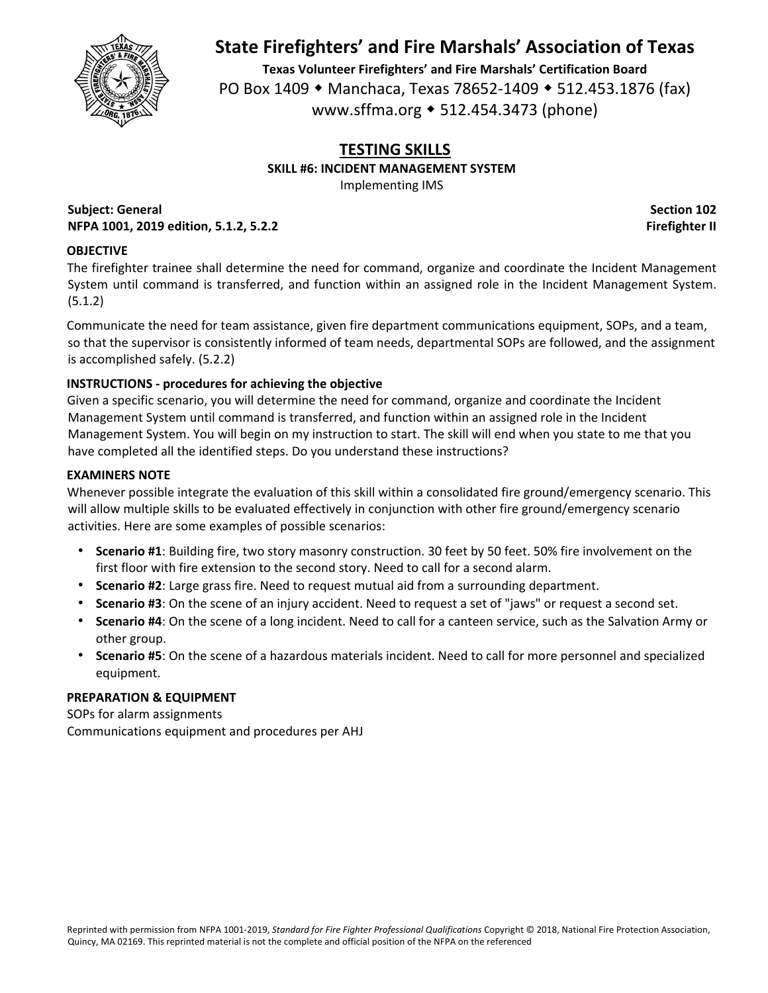

**Texas Volunteer Firefighters' and Fire Marshals' Certification Board** PO Box 1409 • Manchaca, Texas 78652-1409 • 512.453.1876 (fax) www.sffma.org 512.454.3473 (phone)

### **TESTING SKILLS SKILL #6: INCIDENT MANAGEMENT SYSTEM**

Implementing IMS

**Subject: General Section 102 NFPA 1001, 2019 edition, 5.1.2, 5.2.2 Firefighter II**

## **OBJECTIVE**

The firefighter trainee shall determine the need for command, organize and coordinate the Incident Management System until command is transferred, and function within an assigned role in the Incident Management System. (5.1.2)

Communicate the need for team assistance, given fire department communications equipment, SOPs, and a team, so that the supervisor is consistently informed of team needs, departmental SOPs are followed, and the assignment is accomplished safely. (5.2.2)

## **INSTRUCTIONS ‐ procedures for achieving the objective**

Given a specific scenario, you will determine the need for command, organize and coordinate the Incident Management System until command is transferred, and function within an assigned role in the Incident Management System. You will begin on my instruction to start. The skill will end when you state to me that you have completed all the identified steps. Do you understand these instructions?

## **EXAMINERS NOTE**

Whenever possible integrate the evaluation of this skill within a consolidated fire ground/emergency scenario. This will allow multiple skills to be evaluated effectively in conjunction with other fire ground/emergency scenario activities. Here are some examples of possible scenarios:

- **Scenario #1**: Building fire, two story masonry construction. 30 feet by 50 feet. 50% fire involvement on the first floor with fire extension to the second story. Need to call for a second alarm.
- **Scenario #2**: Large grass fire. Need to request mutual aid from a surrounding department.
- **Scenario #3**: On the scene of an injury accident. Need to request a set of "jaws" or request a second set.
- **Scenario #4**: On the scene of a long incident. Need to call for a canteen service, such as the Salvation Army or other group.
- **Scenario #5**: On the scene of a hazardous materials incident. Need to call for more personnel and specialized equipment.

## **PREPARATION & EQUIPMENT**

SOPs for alarm assignments Communications equipment and procedures per AHJ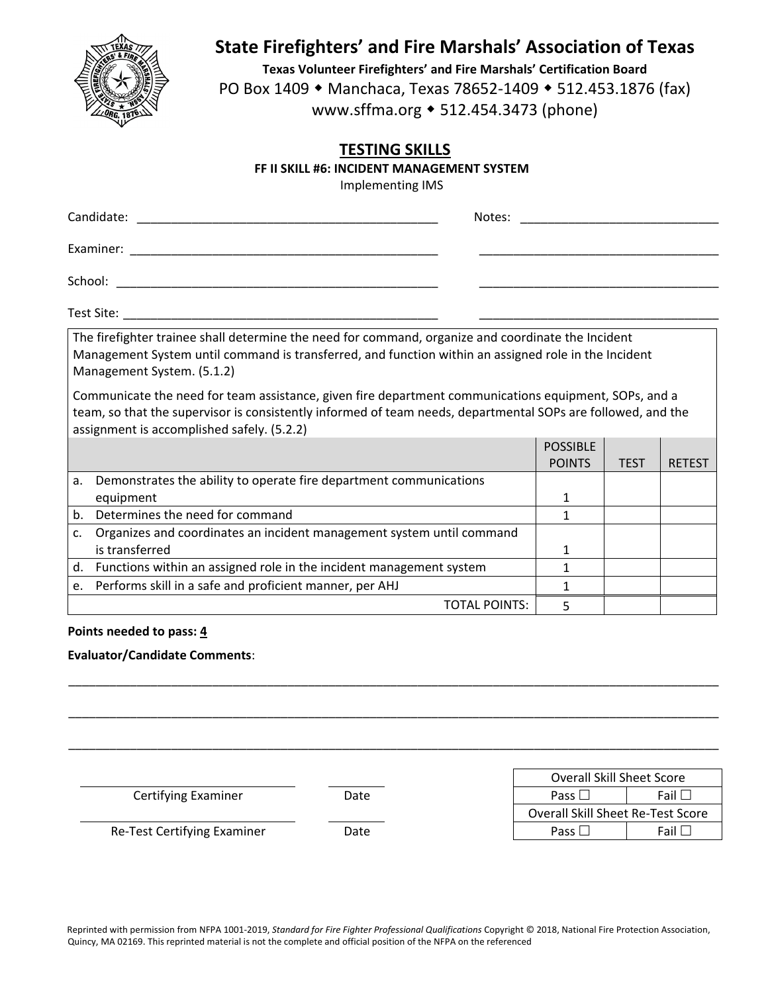

**Texas Volunteer Firefighters' and Fire Marshals' Certification Board** PO Box 1409 • Manchaca, Texas 78652-1409 • 512.453.1876 (fax) www.sffma.org 512.454.3473 (phone)

## **TESTING SKILLS**

#### **FF II SKILL #6: INCIDENT MANAGEMENT SYSTEM**

Implementing IMS

| Candidate: | Notes: |
|------------|--------|
| Examiner:  |        |
| School:    |        |
| Test Site: |        |

The firefighter trainee shall determine the need for command, organize and coordinate the Incident Management System until command is transferred, and function within an assigned role in the Incident Management System. (5.1.2)

Communicate the need for team assistance, given fire department communications equipment, SOPs, and a team, so that the supervisor is consistently informed of team needs, departmental SOPs are followed, and the assignment is accomplished safely. (5.2.2)

|    |                                                                       | <b>POSSIBLE</b> |             |               |
|----|-----------------------------------------------------------------------|-----------------|-------------|---------------|
|    |                                                                       | <b>POINTS</b>   | <b>TEST</b> | <b>RETEST</b> |
| a. | Demonstrates the ability to operate fire department communications    |                 |             |               |
|    | equipment                                                             |                 |             |               |
| b. | Determines the need for command                                       |                 |             |               |
|    | Organizes and coordinates an incident management system until command |                 |             |               |
|    | is transferred                                                        |                 |             |               |
| d. | Functions within an assigned role in the incident management system   |                 |             |               |
| e. | Performs skill in a safe and proficient manner, per AHJ               |                 |             |               |
|    | TOTAL POINTS:                                                         |                 |             |               |

\_\_\_\_\_\_\_\_\_\_\_\_\_\_\_\_\_\_\_\_\_\_\_\_\_\_\_\_\_\_\_\_\_\_\_\_\_\_\_\_\_\_\_\_\_\_\_\_\_\_\_\_\_\_\_\_\_\_\_\_\_\_\_\_\_\_\_\_\_\_\_\_\_\_\_\_\_\_\_\_\_\_\_\_\_\_\_\_\_\_\_\_\_\_\_

\_\_\_\_\_\_\_\_\_\_\_\_\_\_\_\_\_\_\_\_\_\_\_\_\_\_\_\_\_\_\_\_\_\_\_\_\_\_\_\_\_\_\_\_\_\_\_\_\_\_\_\_\_\_\_\_\_\_\_\_\_\_\_\_\_\_\_\_\_\_\_\_\_\_\_\_\_\_\_\_\_\_\_\_\_\_\_\_\_\_\_\_\_\_\_

\_\_\_\_\_\_\_\_\_\_\_\_\_\_\_\_\_\_\_\_\_\_\_\_\_\_\_\_\_\_\_\_\_\_\_\_\_\_\_\_\_\_\_\_\_\_\_\_\_\_\_\_\_\_\_\_\_\_\_\_\_\_\_\_\_\_\_\_\_\_\_\_\_\_\_\_\_\_\_\_\_\_\_\_\_\_\_\_\_\_\_\_\_\_\_

#### **Points needed to pass: 4**

#### **Evaluator/Candidate Comments**:

**Certifying Examiner Date** 

Re-Test Certifying Examiner **Date** 

|               |      | <b>Overall Skill Sheet Score</b>  |
|---------------|------|-----------------------------------|
| Examiner      | Date | Fail<br>Pass L                    |
|               |      | Overall Skill Sheet Re-Test Score |
| ying Examiner | Date | Pass L<br><b>Fail</b> $\Box$      |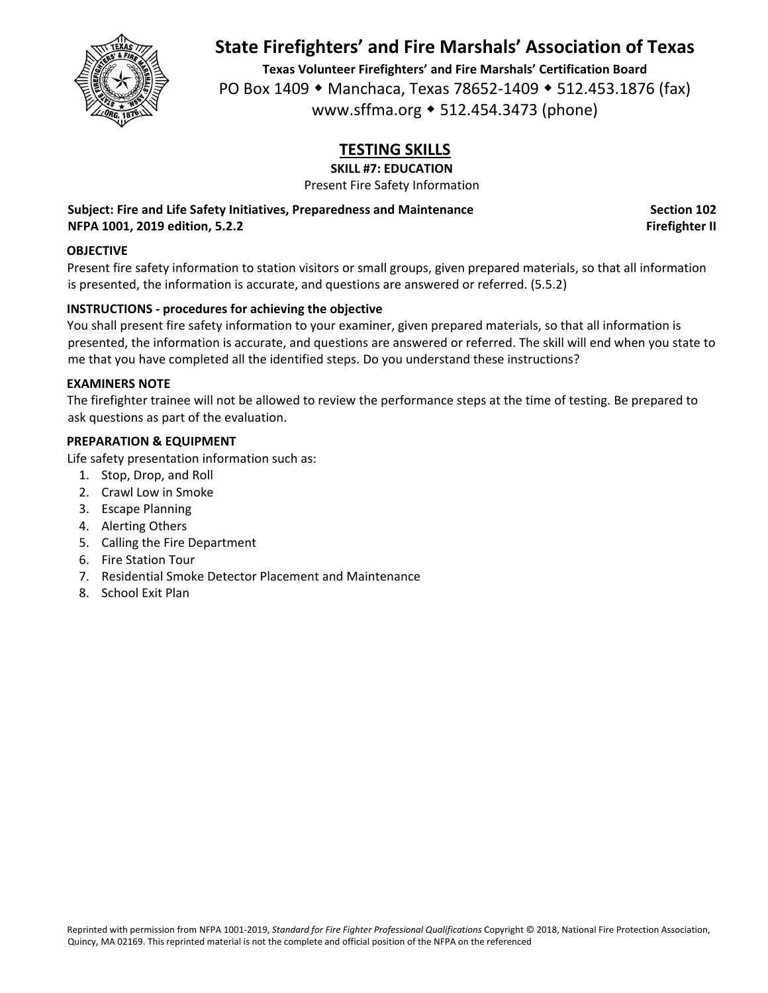

**Texas Volunteer Firefighters' and Fire Marshals' Certification Board** PO Box 1409 • Manchaca, Texas 78652-1409 • 512.453.1876 (fax) www.sffma.org 512.454.3473 (phone)

# **TESTING SKILLS**

**SKILL #7: EDUCATION**

Present Fire Safety Information

**Subject: Fire and Life Safety Initiatives, Preparedness and Maintenance Section 102 NFPA 1001, 2019 edition, 5.2.2 Firefighter II**

## **OBJECTIVE**

Present fire safety information to station visitors or small groups, given prepared materials, so that all information is presented, the information is accurate, and questions are answered or referred. (5.5.2)

## **INSTRUCTIONS ‐ procedures for achieving the objective**

You shall present fire safety information to your examiner, given prepared materials, so that all information is presented, the information is accurate, and questions are answered or referred. The skill will end when you state to me that you have completed all the identified steps. Do you understand these instructions?

#### **EXAMINERS NOTE**

The firefighter trainee will not be allowed to review the performance steps at the time of testing. Be prepared to ask questions as part of the evaluation.

### **PREPARATION & EQUIPMENT**

Life safety presentation information such as:

- 1. Stop, Drop, and Roll
- 2. Crawl Low in Smoke
- 3. Escape Planning
- 4. Alerting Others
- 5. Calling the Fire Department
- 6. Fire Station Tour
- 7. Residential Smoke Detector Placement and Maintenance
- 8. School Exit Plan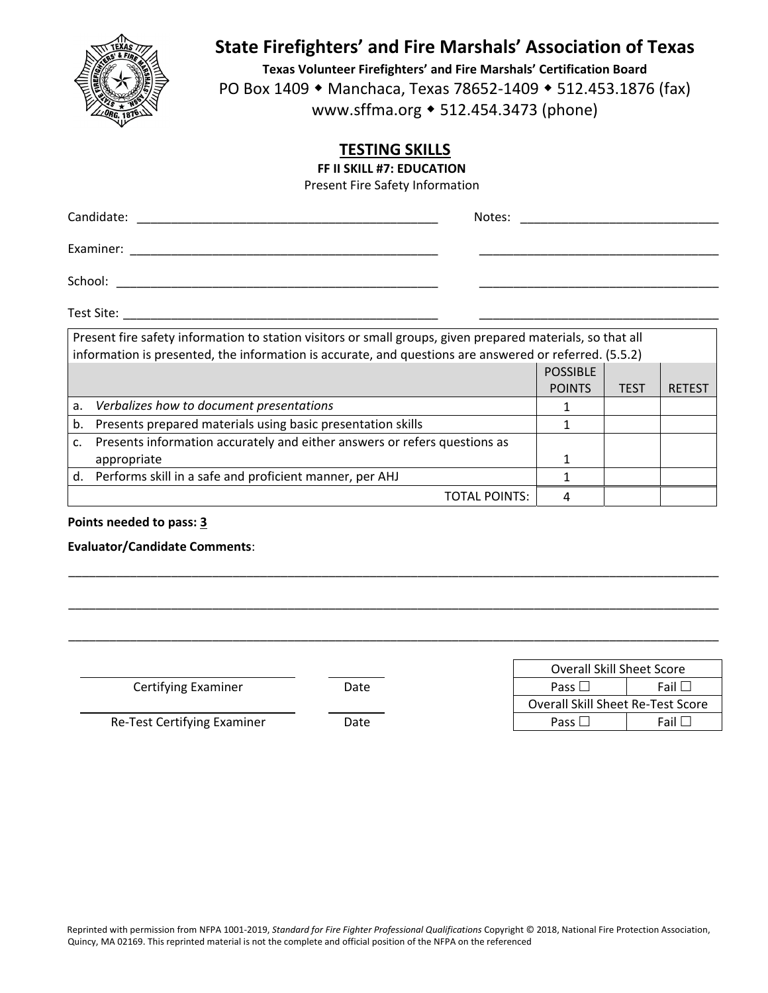

**Texas Volunteer Firefighters' and Fire Marshals' Certification Board** PO Box 1409 • Manchaca, Texas 78652-1409 • 512.453.1876 (fax) www.sffma.org 512.454.3473 (phone)

TOTAL POINTS: 4

## **TESTING SKILLS**

**FF II SKILL #7: EDUCATION**

Present Fire Safety Information

| Examiner: 2008 and 2008 and 2008 and 2008 and 2008 and 2008 and 2008 and 2008 and 2008 and 2008 and 2008 and 20                                                                                                      |                 |             |               |
|----------------------------------------------------------------------------------------------------------------------------------------------------------------------------------------------------------------------|-----------------|-------------|---------------|
| School:                                                                                                                                                                                                              |                 |             |               |
|                                                                                                                                                                                                                      |                 |             |               |
| Present fire safety information to station visitors or small groups, given prepared materials, so that all<br>information is presented, the information is accurate, and questions are answered or referred. (5.5.2) |                 |             |               |
|                                                                                                                                                                                                                      | <b>POSSIBLE</b> |             |               |
|                                                                                                                                                                                                                      | <b>POINTS</b>   | <b>TEST</b> | <b>RETEST</b> |
| a.<br>Verbalizes how to document presentations                                                                                                                                                                       |                 |             |               |

\_\_\_\_\_\_\_\_\_\_\_\_\_\_\_\_\_\_\_\_\_\_\_\_\_\_\_\_\_\_\_\_\_\_\_\_\_\_\_\_\_\_\_\_\_\_\_\_\_\_\_\_\_\_\_\_\_\_\_\_\_\_\_\_\_\_\_\_\_\_\_\_\_\_\_\_\_\_\_\_\_\_\_\_\_\_\_\_\_\_\_\_\_\_\_

\_\_\_\_\_\_\_\_\_\_\_\_\_\_\_\_\_\_\_\_\_\_\_\_\_\_\_\_\_\_\_\_\_\_\_\_\_\_\_\_\_\_\_\_\_\_\_\_\_\_\_\_\_\_\_\_\_\_\_\_\_\_\_\_\_\_\_\_\_\_\_\_\_\_\_\_\_\_\_\_\_\_\_\_\_\_\_\_\_\_\_\_\_\_\_

\_\_\_\_\_\_\_\_\_\_\_\_\_\_\_\_\_\_\_\_\_\_\_\_\_\_\_\_\_\_\_\_\_\_\_\_\_\_\_\_\_\_\_\_\_\_\_\_\_\_\_\_\_\_\_\_\_\_\_\_\_\_\_\_\_\_\_\_\_\_\_\_\_\_\_\_\_\_\_\_\_\_\_\_\_\_\_\_\_\_\_\_\_\_\_

| b. Presents prepared materials using basic presentation skills               |  |  |
|------------------------------------------------------------------------------|--|--|
| c. Presents information accurately and either answers or refers questions as |  |  |
| appropriate                                                                  |  |  |
| d. Performs skill in a safe and proficient manner, per AHJ                   |  |  |

#### **Points needed to pass: 3**

#### **Evaluator/Candidate Comments**:

**Certifying Examiner Date** 

|               |      | <b>Overall Skill Sheet Score</b>              |
|---------------|------|-----------------------------------------------|
| Examiner      | Date | Fail L<br>Pass $\Box$                         |
|               |      | Overall Skill Sheet Re-Test Score             |
| ying Examiner | Date | Fail L<br>Pass $\mathsf{\mathsf{\mathsf{L}}}$ |

Re‐Test Certifying Examiner Date Pass Fail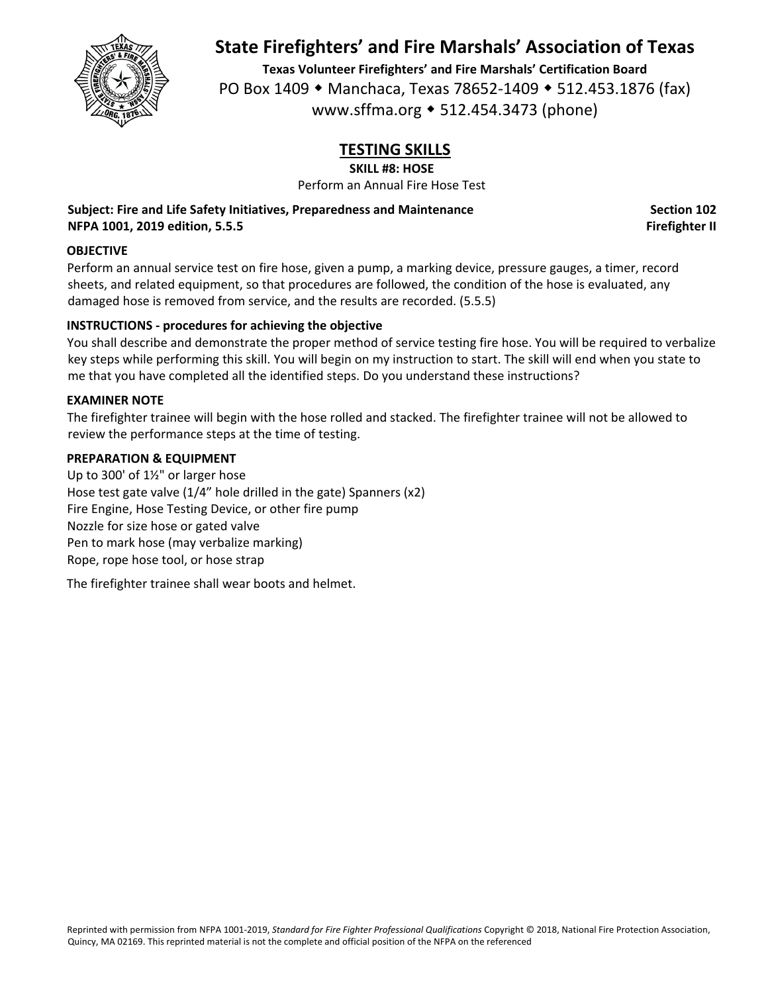

**Texas Volunteer Firefighters' and Fire Marshals' Certification Board** PO Box 1409 • Manchaca, Texas 78652-1409 • 512.453.1876 (fax) www.sffma.org 512.454.3473 (phone)

# **TESTING SKILLS**

**SKILL #8: HOSE**

Perform an Annual Fire Hose Test

**Subject: Fire and Life Safety Initiatives, Preparedness and Maintenance Section 102 NFPA 1001, 2019 edition, 5.5.5 Firefighter II**

### **OBJECTIVE**

Perform an annual service test on fire hose, given a pump, a marking device, pressure gauges, a timer, record sheets, and related equipment, so that procedures are followed, the condition of the hose is evaluated, any damaged hose is removed from service, and the results are recorded. (5.5.5)

### **INSTRUCTIONS ‐ procedures for achieving the objective**

You shall describe and demonstrate the proper method of service testing fire hose. You will be required to verbalize key steps while performing this skill. You will begin on my instruction to start. The skill will end when you state to me that you have completed all the identified steps. Do you understand these instructions?

#### **EXAMINER NOTE**

The firefighter trainee will begin with the hose rolled and stacked. The firefighter trainee will not be allowed to review the performance steps at the time of testing.

#### **PREPARATION & EQUIPMENT**

Up to 300' of 1½" or larger hose Hose test gate valve (1/4" hole drilled in the gate) Spanners (x2) Fire Engine, Hose Testing Device, or other fire pump Nozzle for size hose or gated valve Pen to mark hose (may verbalize marking) Rope, rope hose tool, or hose strap

The firefighter trainee shall wear boots and helmet.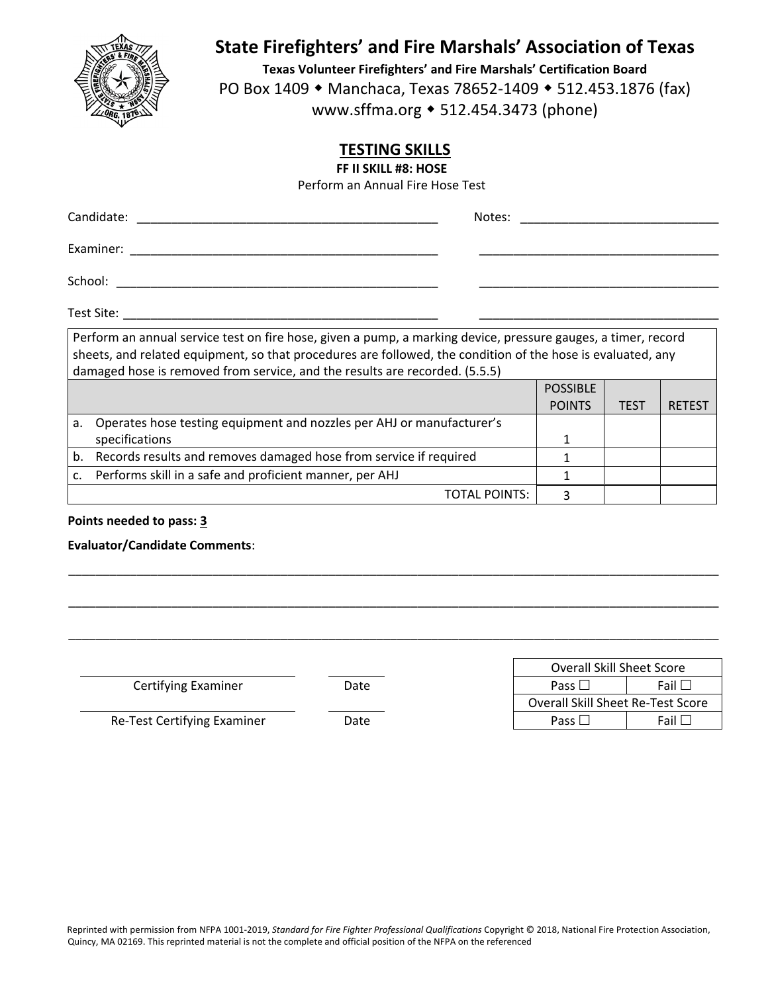

**Texas Volunteer Firefighters' and Fire Marshals' Certification Board** PO Box 1409 • Manchaca, Texas 78652-1409 • 512.453.1876 (fax) www.sffma.org 512.454.3473 (phone)

TOTAL POINTS: | 3

# **TESTING SKILLS**

**FF II SKILL #8: HOSE**

Perform an Annual Fire Hose Test

| Candidate: The Candidate:<br>Notes:                                                                                                                                                                                                                                                                         |                                  |      |               |
|-------------------------------------------------------------------------------------------------------------------------------------------------------------------------------------------------------------------------------------------------------------------------------------------------------------|----------------------------------|------|---------------|
| Examiner:                                                                                                                                                                                                                                                                                                   |                                  |      |               |
| School: <b>All Accords</b>                                                                                                                                                                                                                                                                                  |                                  |      |               |
|                                                                                                                                                                                                                                                                                                             |                                  |      |               |
| Perform an annual service test on fire hose, given a pump, a marking device, pressure gauges, a timer, record<br>sheets, and related equipment, so that procedures are followed, the condition of the hose is evaluated, any<br>damaged hose is removed from service, and the results are recorded. (5.5.5) |                                  |      |               |
|                                                                                                                                                                                                                                                                                                             | <b>POSSIBLE</b><br><b>POINTS</b> | TEST | <b>RETEST</b> |
| a. Operates hose testing equipment and nozzles per AHJ or manufacturer's<br>specifications                                                                                                                                                                                                                  |                                  |      |               |
| b. Records results and removes damaged hose from service if required                                                                                                                                                                                                                                        |                                  |      |               |

\_\_\_\_\_\_\_\_\_\_\_\_\_\_\_\_\_\_\_\_\_\_\_\_\_\_\_\_\_\_\_\_\_\_\_\_\_\_\_\_\_\_\_\_\_\_\_\_\_\_\_\_\_\_\_\_\_\_\_\_\_\_\_\_\_\_\_\_\_\_\_\_\_\_\_\_\_\_\_\_\_\_\_\_\_\_\_\_\_\_\_\_\_\_\_

\_\_\_\_\_\_\_\_\_\_\_\_\_\_\_\_\_\_\_\_\_\_\_\_\_\_\_\_\_\_\_\_\_\_\_\_\_\_\_\_\_\_\_\_\_\_\_\_\_\_\_\_\_\_\_\_\_\_\_\_\_\_\_\_\_\_\_\_\_\_\_\_\_\_\_\_\_\_\_\_\_\_\_\_\_\_\_\_\_\_\_\_\_\_\_

\_\_\_\_\_\_\_\_\_\_\_\_\_\_\_\_\_\_\_\_\_\_\_\_\_\_\_\_\_\_\_\_\_\_\_\_\_\_\_\_\_\_\_\_\_\_\_\_\_\_\_\_\_\_\_\_\_\_\_\_\_\_\_\_\_\_\_\_\_\_\_\_\_\_\_\_\_\_\_\_\_\_\_\_\_\_\_\_\_\_\_\_\_\_\_

#### **Points needed to pass: 3**

**Evaluator/Candidate Comments**:

**Certifying Examiner Date** 

c. Performs skill in a safe and proficient manner, per AHJ  $\vert$  1

|               |      | <b>Overall Skill Sheet Score</b>         |
|---------------|------|------------------------------------------|
| Examiner      | Date | Fail<br>Pass                             |
|               |      | <b>Overall Skill Sheet Re-Test Score</b> |
| ying Examiner | Date | Fail L<br>Pass $\Box$                    |

Re‐Test Certifying Examiner Date Pass Fail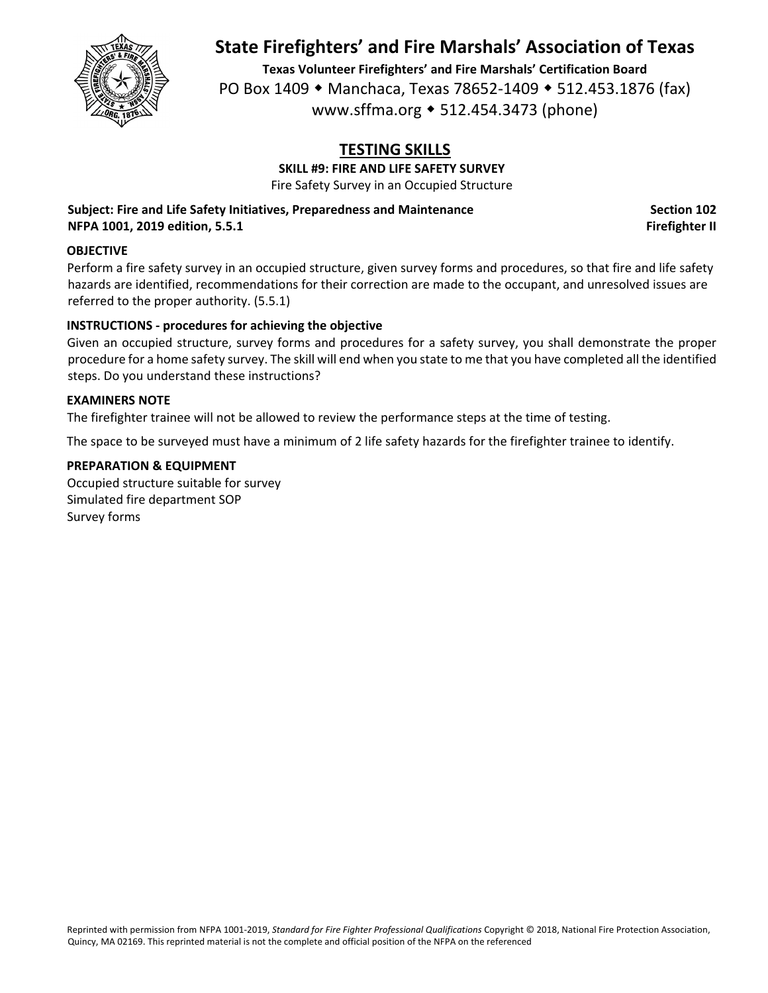

**Texas Volunteer Firefighters' and Fire Marshals' Certification Board** PO Box 1409 • Manchaca, Texas 78652-1409 • 512.453.1876 (fax) www.sffma.org 512.454.3473 (phone)

# **TESTING SKILLS**

**SKILL #9: FIRE AND LIFE SAFETY SURVEY**

Fire Safety Survey in an Occupied Structure

**Subject: Fire and Life Safety Initiatives, Preparedness and Maintenance Section 102 NFPA 1001, 2019 edition, 5.5.1 Firefighter II**

#### **OBJECTIVE**

Perform a fire safety survey in an occupied structure, given survey forms and procedures, so that fire and life safety hazards are identified, recommendations for their correction are made to the occupant, and unresolved issues are referred to the proper authority. (5.5.1)

## **INSTRUCTIONS ‐ procedures for achieving the objective**

Given an occupied structure, survey forms and procedures for a safety survey, you shall demonstrate the proper procedure for a home safety survey. The skill will end when you state to me that you have completed all the identified steps. Do you understand these instructions?

#### **EXAMINERS NOTE**

The firefighter trainee will not be allowed to review the performance steps at the time of testing.

The space to be surveyed must have a minimum of 2 life safety hazards for the firefighter trainee to identify.

### **PREPARATION & EQUIPMENT**

Occupied structure suitable for survey Simulated fire department SOP Survey forms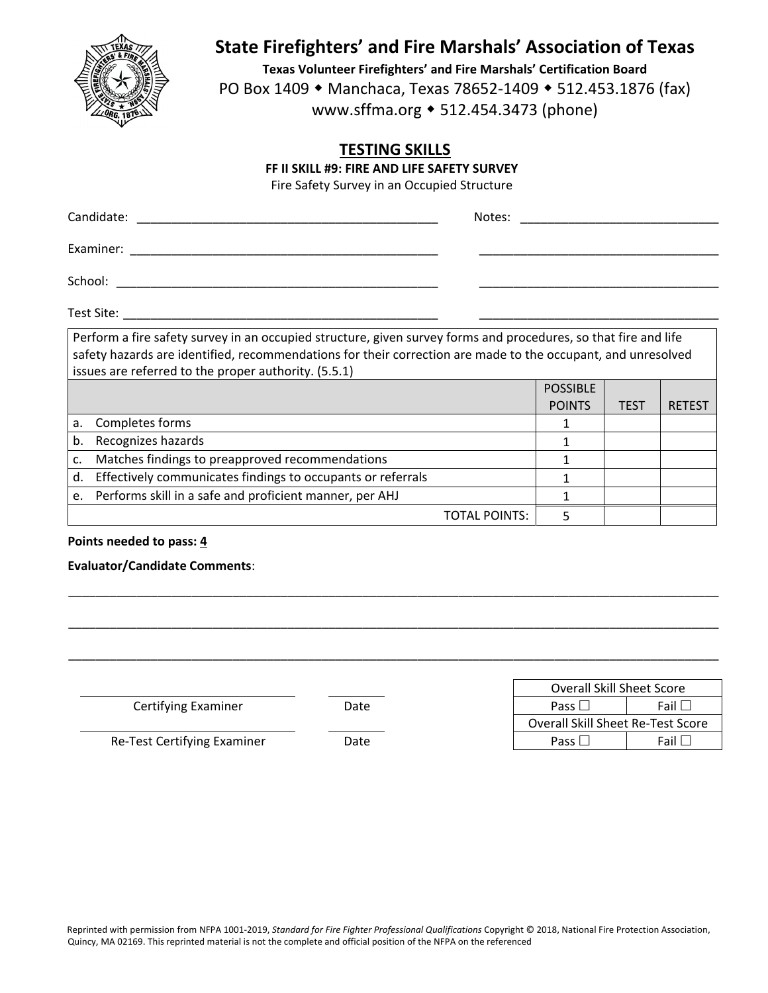

**Texas Volunteer Firefighters' and Fire Marshals' Certification Board** PO Box 1409 ◆ Manchaca, Texas 78652-1409 ◆ 512.453.1876 (fax) www.sffma.org 512.454.3473 (phone)

TOTAL POINTS: | 5

## **TESTING SKILLS**

**FF II SKILL #9: FIRE AND LIFE SAFETY SURVEY**

Fire Safety Survey in an Occupied Structure

| Candidate:  |                                                                                                                                                                                                                                                                                         | Notes: |                                  |             |               |
|-------------|-----------------------------------------------------------------------------------------------------------------------------------------------------------------------------------------------------------------------------------------------------------------------------------------|--------|----------------------------------|-------------|---------------|
|             | Examiner: 2008 and 2008 and 2008 and 2008 and 2008 and 2008 and 2008 and 2008 and 2008 and 2008 and 2008 and 20                                                                                                                                                                         |        |                                  |             |               |
|             | School:                                                                                                                                                                                                                                                                                 |        |                                  |             |               |
|             |                                                                                                                                                                                                                                                                                         |        |                                  |             |               |
|             | Perform a fire safety survey in an occupied structure, given survey forms and procedures, so that fire and life<br>safety hazards are identified, recommendations for their correction are made to the occupant, and unresolved<br>issues are referred to the proper authority. (5.5.1) |        |                                  |             |               |
|             |                                                                                                                                                                                                                                                                                         |        | <b>POSSIBLE</b><br><b>POINTS</b> | <b>TEST</b> | <b>RETEST</b> |
| a.          | Completes forms                                                                                                                                                                                                                                                                         |        |                                  |             |               |
| b.          | Recognizes hazards                                                                                                                                                                                                                                                                      |        |                                  |             |               |
| $c_{\cdot}$ | Matches findings to preapproved recommendations                                                                                                                                                                                                                                         |        |                                  |             |               |
|             | d. Effectively communicates findings to occupants or referrals                                                                                                                                                                                                                          |        |                                  |             |               |

e. Performs skill in a safe and proficient manner, per AHJ  $\vert$  1

#### **Points needed to pass: 4**

**Evaluator/Candidate Comments**:

|                             |      | <b>Overall Skill Sheet Score</b>         |             |
|-----------------------------|------|------------------------------------------|-------------|
| Certifying Examiner         | Date | Pass $\Box$                              | Fail $\Box$ |
|                             |      | <b>Overall Skill Sheet Re-Test Score</b> |             |
| Re-Test Certifying Examiner | Date | Pass L                                   | Fail $\Box$ |
|                             |      |                                          |             |

\_\_\_\_\_\_\_\_\_\_\_\_\_\_\_\_\_\_\_\_\_\_\_\_\_\_\_\_\_\_\_\_\_\_\_\_\_\_\_\_\_\_\_\_\_\_\_\_\_\_\_\_\_\_\_\_\_\_\_\_\_\_\_\_\_\_\_\_\_\_\_\_\_\_\_\_\_\_\_\_\_\_\_\_\_\_\_\_\_\_\_\_\_\_\_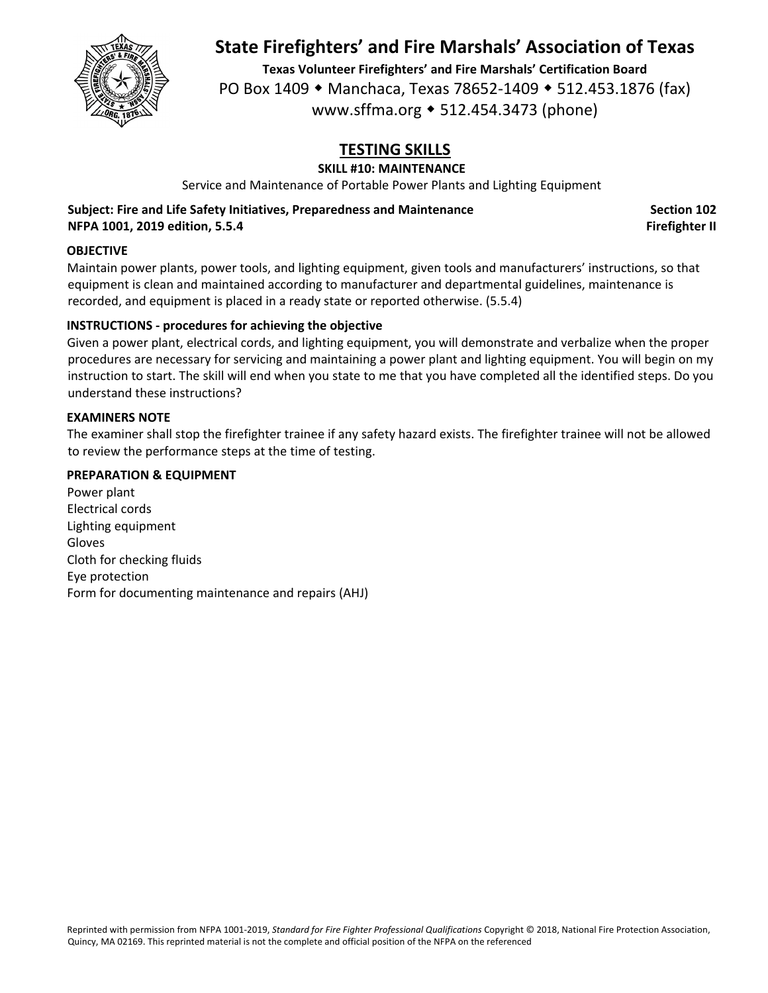

**Texas Volunteer Firefighters' and Fire Marshals' Certification Board** PO Box 1409 • Manchaca, Texas 78652-1409 • 512.453.1876 (fax) www.sffma.org 512.454.3473 (phone)

# **TESTING SKILLS**

## **SKILL #10: MAINTENANCE**

Service and Maintenance of Portable Power Plants and Lighting Equipment

**Subject: Fire and Life Safety Initiatives, Preparedness and Maintenance Section 102 NFPA 1001, 2019 edition, 5.5.4 Firefighter II**

#### **OBJECTIVE**

Maintain power plants, power tools, and lighting equipment, given tools and manufacturers' instructions, so that equipment is clean and maintained according to manufacturer and departmental guidelines, maintenance is recorded, and equipment is placed in a ready state or reported otherwise. (5.5.4)

### **INSTRUCTIONS ‐ procedures for achieving the objective**

Given a power plant, electrical cords, and lighting equipment, you will demonstrate and verbalize when the proper procedures are necessary for servicing and maintaining a power plant and lighting equipment. You will begin on my instruction to start. The skill will end when you state to me that you have completed all the identified steps. Do you understand these instructions?

#### **EXAMINERS NOTE**

The examiner shall stop the firefighter trainee if any safety hazard exists. The firefighter trainee will not be allowed to review the performance steps at the time of testing.

#### **PREPARATION & EQUIPMENT**

Power plant Electrical cords Lighting equipment Gloves Cloth for checking fluids Eye protection Form for documenting maintenance and repairs (AHJ)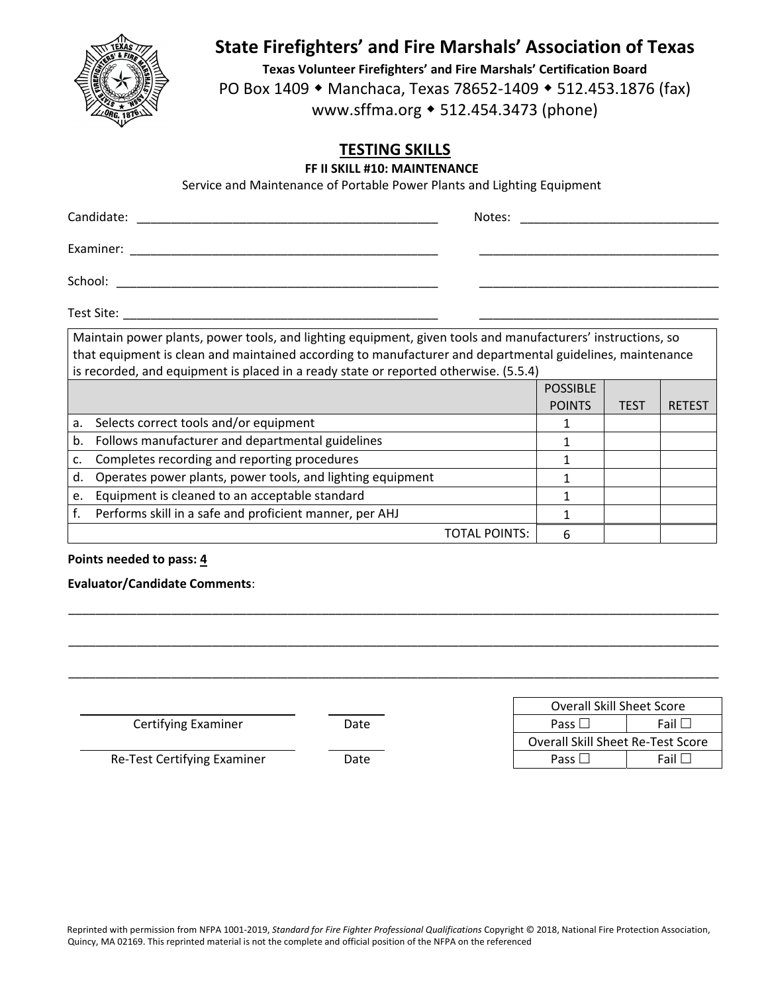

**Texas Volunteer Firefighters' and Fire Marshals' Certification Board** PO Box 1409 ◆ Manchaca, Texas 78652-1409 ◆ 512.453.1876 (fax) www.sffma.org 512.454.3473 (phone)

## **TESTING SKILLS**

#### **FF II SKILL #10: MAINTENANCE**

Service and Maintenance of Portable Power Plants and Lighting Equipment

| Maintain power plants, power tools, and lighting equipment, given tools and manufacturers' instructions, so<br>that equipment is clean and maintained according to manufacturer and departmental guidelines, maintenance<br>is recorded, and equipment is placed in a ready state or reported otherwise. (5.5.4) |  |
|------------------------------------------------------------------------------------------------------------------------------------------------------------------------------------------------------------------------------------------------------------------------------------------------------------------|--|

|    | is recorded, and equipment is placed in a ready state or reported otherwise. (S.S.+) |                 |      |               |
|----|--------------------------------------------------------------------------------------|-----------------|------|---------------|
|    |                                                                                      | <b>POSSIBLE</b> |      |               |
|    |                                                                                      | <b>POINTS</b>   | TEST | <b>RETEST</b> |
| a. | Selects correct tools and/or equipment                                               |                 |      |               |
| b. | Follows manufacturer and departmental guidelines                                     |                 |      |               |
| c. | Completes recording and reporting procedures                                         |                 |      |               |
| d. | Operates power plants, power tools, and lighting equipment                           |                 |      |               |
| e. | Equipment is cleaned to an acceptable standard                                       |                 |      |               |
|    | Performs skill in a safe and proficient manner, per AHJ                              |                 |      |               |
|    | TOTAL POINTS:                                                                        |                 |      |               |

#### **Points needed to pass: 4**

**Evaluator/Candidate Comments**:

|                             |      | <b>Overall Skill Sheet Score</b>         |             |
|-----------------------------|------|------------------------------------------|-------------|
| Certifying Examiner         | Date | Pass $\Box$                              | Fail $\Box$ |
|                             |      | <b>Overall Skill Sheet Re-Test Score</b> |             |
| Re-Test Certifying Examiner | Date | Pass $\square$                           | Fail $\Box$ |
|                             |      |                                          |             |

\_\_\_\_\_\_\_\_\_\_\_\_\_\_\_\_\_\_\_\_\_\_\_\_\_\_\_\_\_\_\_\_\_\_\_\_\_\_\_\_\_\_\_\_\_\_\_\_\_\_\_\_\_\_\_\_\_\_\_\_\_\_\_\_\_\_\_\_\_\_\_\_\_\_\_\_\_\_\_\_\_\_\_\_\_\_\_\_\_\_\_\_\_\_\_

\_\_\_\_\_\_\_\_\_\_\_\_\_\_\_\_\_\_\_\_\_\_\_\_\_\_\_\_\_\_\_\_\_\_\_\_\_\_\_\_\_\_\_\_\_\_\_\_\_\_\_\_\_\_\_\_\_\_\_\_\_\_\_\_\_\_\_\_\_\_\_\_\_\_\_\_\_\_\_\_\_\_\_\_\_\_\_\_\_\_\_\_\_\_\_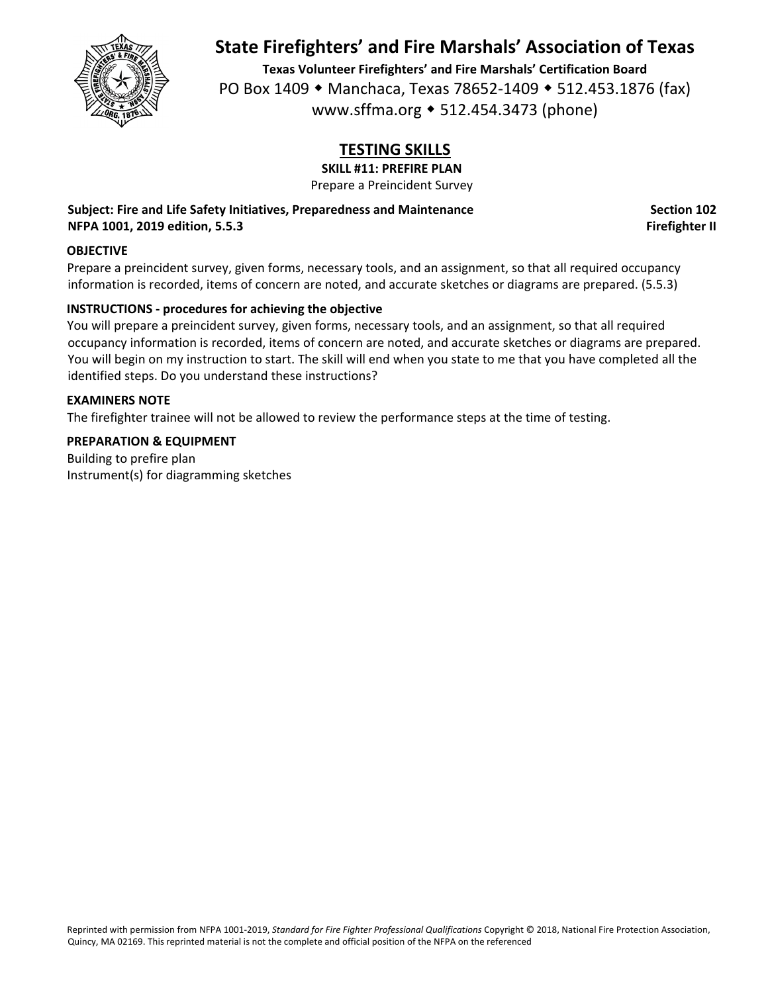

**Texas Volunteer Firefighters' and Fire Marshals' Certification Board** PO Box 1409 • Manchaca, Texas 78652-1409 • 512.453.1876 (fax) www.sffma.org 512.454.3473 (phone)

# **TESTING SKILLS**

**SKILL #11: PREFIRE PLAN**

Prepare a Preincident Survey

**Subject: Fire and Life Safety Initiatives, Preparedness and Maintenance Section 102 NFPA 1001, 2019 edition, 5.5.3 Firefighter II**

#### **OBJECTIVE**

Prepare a preincident survey, given forms, necessary tools, and an assignment, so that all required occupancy information is recorded, items of concern are noted, and accurate sketches or diagrams are prepared. (5.5.3)

### **INSTRUCTIONS ‐ procedures for achieving the objective**

You will prepare a preincident survey, given forms, necessary tools, and an assignment, so that all required occupancy information is recorded, items of concern are noted, and accurate sketches or diagrams are prepared. You will begin on my instruction to start. The skill will end when you state to me that you have completed all the identified steps. Do you understand these instructions?

#### **EXAMINERS NOTE**

The firefighter trainee will not be allowed to review the performance steps at the time of testing.

#### **PREPARATION & EQUIPMENT**

Building to prefire plan Instrument(s) for diagramming sketches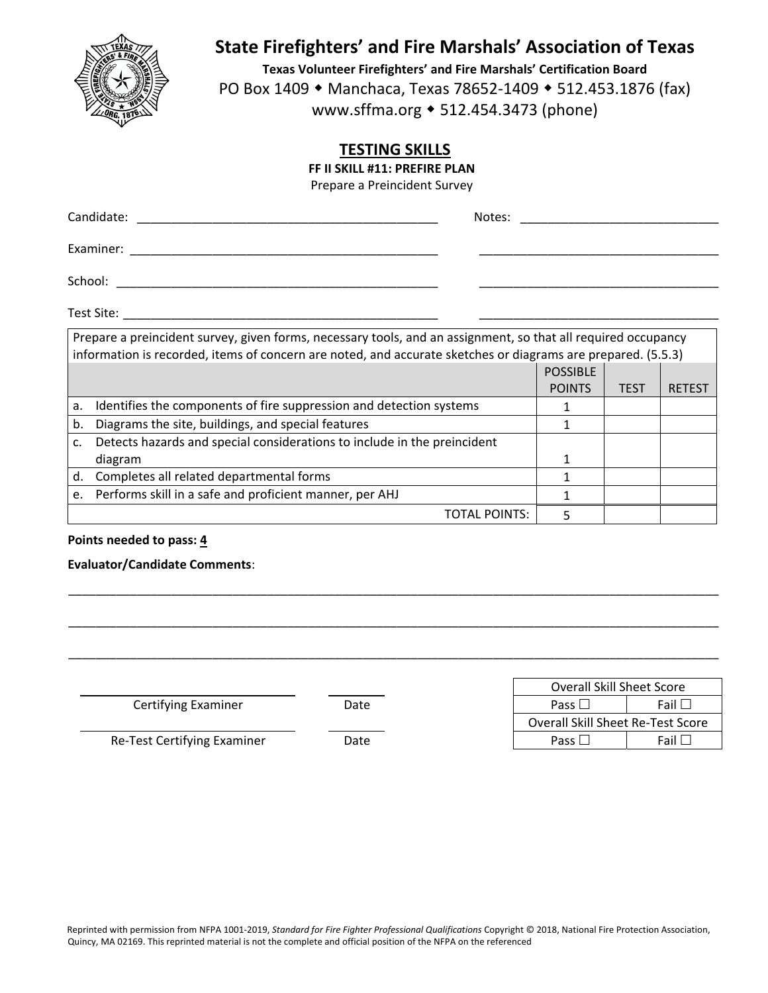

**Texas Volunteer Firefighters' and Fire Marshals' Certification Board** PO Box 1409 ◆ Manchaca, Texas 78652-1409 ◆ 512.453.1876 (fax) www.sffma.org 512.454.3473 (phone)

## **TESTING SKILLS**

**FF II SKILL #11: PREFIRE PLAN**

Prepare a Preincident Survey

| Prepare a preincident survey, given forms, necessary tools, and an assignment, so that all required occupancy |  |
|---------------------------------------------------------------------------------------------------------------|--|

|    | information is recorded, items of concern are noted, and accurate sketches or diagrams are prepared. (5.5.3) |                 |      |               |
|----|--------------------------------------------------------------------------------------------------------------|-----------------|------|---------------|
|    |                                                                                                              | <b>POSSIBLE</b> |      |               |
|    |                                                                                                              | <b>POINTS</b>   | TEST | <b>RETEST</b> |
| a. | Identifies the components of fire suppression and detection systems                                          |                 |      |               |
| b. | Diagrams the site, buildings, and special features                                                           |                 |      |               |
|    | Detects hazards and special considerations to include in the preincident                                     |                 |      |               |
|    | diagram                                                                                                      |                 |      |               |
| d. | Completes all related departmental forms                                                                     |                 |      |               |
|    | e. Performs skill in a safe and proficient manner, per AHJ                                                   |                 |      |               |
|    | TOTAL POINTS:                                                                                                |                 |      |               |

#### **Points needed to pass: 4**

**Evaluator/Candidate Comments**:

\_\_\_\_\_\_\_\_\_\_\_\_\_\_\_\_\_\_\_\_\_\_\_\_\_\_\_\_\_\_\_\_\_\_\_\_\_\_\_\_\_\_\_\_\_\_\_\_\_\_\_\_\_\_\_\_\_\_\_\_\_\_\_\_\_\_\_\_\_\_\_\_\_\_\_\_\_\_\_\_\_\_\_\_\_\_\_\_\_\_\_\_\_\_\_  Overall Skill Sheet Score **Certifying Examiner Date Date Pass Pass** Fail Fail **Fail**  Overall Skill Sheet Re‐Test Score Re-Test Certifying Examiner **Date Date Fail Pass** Fail Fail Fail

\_\_\_\_\_\_\_\_\_\_\_\_\_\_\_\_\_\_\_\_\_\_\_\_\_\_\_\_\_\_\_\_\_\_\_\_\_\_\_\_\_\_\_\_\_\_\_\_\_\_\_\_\_\_\_\_\_\_\_\_\_\_\_\_\_\_\_\_\_\_\_\_\_\_\_\_\_\_\_\_\_\_\_\_\_\_\_\_\_\_\_\_\_\_\_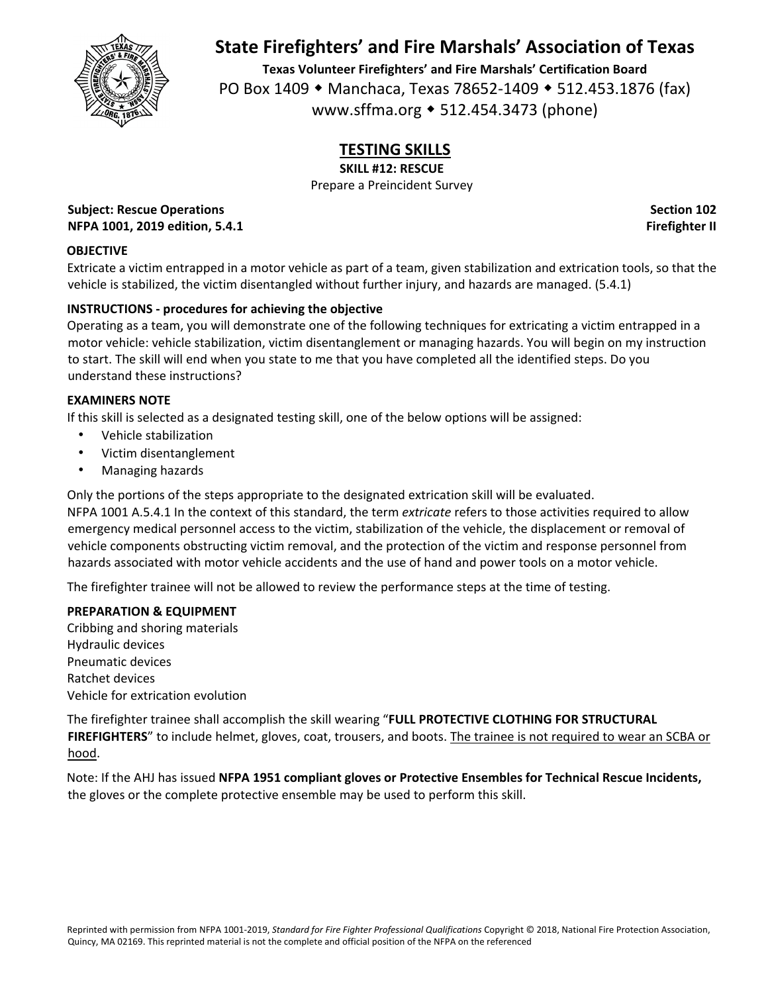

**Texas Volunteer Firefighters' and Fire Marshals' Certification Board** PO Box 1409 • Manchaca, Texas 78652-1409 • 512.453.1876 (fax) www.sffma.org 512.454.3473 (phone)

# **TESTING SKILLS**

**SKILL #12: RESCUE**

Prepare a Preincident Survey

**Subject: Rescue Operations Section 102 NFPA 1001, 2019 edition, 5.4.1 Firefighter II**

## **OBJECTIVE**

Extricate a victim entrapped in a motor vehicle as part of a team, given stabilization and extrication tools, so that the vehicle is stabilized, the victim disentangled without further injury, and hazards are managed. (5.4.1)

## **INSTRUCTIONS ‐ procedures for achieving the objective**

Operating as a team, you will demonstrate one of the following techniques for extricating a victim entrapped in a motor vehicle: vehicle stabilization, victim disentanglement or managing hazards. You will begin on my instruction to start. The skill will end when you state to me that you have completed all the identified steps. Do you understand these instructions?

#### **EXAMINERS NOTE**

If this skill is selected as a designated testing skill, one of the below options will be assigned:

- Vehicle stabilization
- Victim disentanglement
- Managing hazards

Only the portions of the steps appropriate to the designated extrication skill will be evaluated. NFPA 1001 A.5.4.1 In the context of this standard, the term *extricate* refers to those activities required to allow emergency medical personnel access to the victim, stabilization of the vehicle, the displacement or removal of vehicle components obstructing victim removal, and the protection of the victim and response personnel from

hazards associated with motor vehicle accidents and the use of hand and power tools on a motor vehicle.

The firefighter trainee will not be allowed to review the performance steps at the time of testing.

#### **PREPARATION & EQUIPMENT**

Cribbing and shoring materials Hydraulic devices Pneumatic devices Ratchet devices Vehicle for extrication evolution

The firefighter trainee shall accomplish the skill wearing "**FULL PROTECTIVE CLOTHING FOR STRUCTURAL** FIREFIGHTERS" to include helmet, gloves, coat, trousers, and boots. The trainee is not required to wear an SCBA or hood.

Note: If the AHJ has issued **NFPA 1951 compliant gloves or Protective Ensembles for Technical Rescue Incidents,** the gloves or the complete protective ensemble may be used to perform this skill.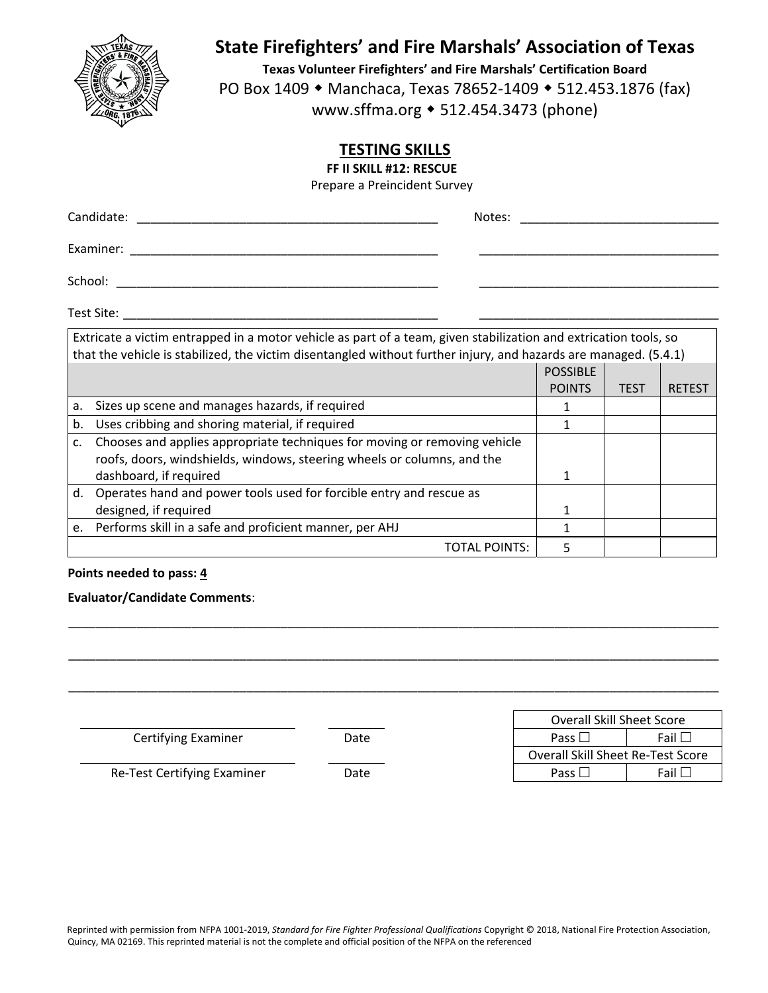

**Texas Volunteer Firefighters' and Fire Marshals' Certification Board** PO Box 1409 • Manchaca, Texas 78652-1409 • 512.453.1876 (fax) www.sffma.org 512.454.3473 (phone)

## **TESTING SKILLS**

**FF II SKILL #12: RESCUE**

Prepare a Preincident Survey

|                | Candidate:<br>Notes:                                                                                                                                                                                                                 |                                  |             |               |
|----------------|--------------------------------------------------------------------------------------------------------------------------------------------------------------------------------------------------------------------------------------|----------------------------------|-------------|---------------|
|                | Examiner:                                                                                                                                                                                                                            |                                  |             |               |
|                | School:                                                                                                                                                                                                                              |                                  |             |               |
|                | Test Site: The Contract of the Contract of the Contract of the Contract of the Contract of the Contract of the                                                                                                                       |                                  |             |               |
|                | Extricate a victim entrapped in a motor vehicle as part of a team, given stabilization and extrication tools, so<br>that the vehicle is stabilized, the victim disentangled without further injury, and hazards are managed. (5.4.1) |                                  |             |               |
|                |                                                                                                                                                                                                                                      | <b>POSSIBLE</b><br><b>POINTS</b> | <b>TEST</b> | <b>RETEST</b> |
| a.             | Sizes up scene and manages hazards, if required                                                                                                                                                                                      | 1.                               |             |               |
| b.             | Uses cribbing and shoring material, if required                                                                                                                                                                                      |                                  |             |               |
| $\mathsf{C}$ . | Chooses and applies appropriate techniques for moving or removing vehicle<br>roofs, doors, windshields, windows, steering wheels or columns, and the<br>dashboard, if required                                                       |                                  |             |               |
| <sub>d</sub>   | Operates hand and nower tools used for forsible entry and ressue as                                                                                                                                                                  |                                  |             |               |

| d. Operates hand and power tools used for forcible entry and rescue as |  |  |
|------------------------------------------------------------------------|--|--|
| designed, if required                                                  |  |  |
| e. Performs skill in a safe and proficient manner, per AHJ             |  |  |
| TOTAL POINTS:                                                          |  |  |
|                                                                        |  |  |

### **Points needed to pass: 4**

#### **Evaluator/Candidate Comments**:

|                             |      | <b>Overall Skill Sheet Score</b>  |                |
|-----------------------------|------|-----------------------------------|----------------|
| <b>Certifying Examiner</b>  | Date | Pass $\Box$                       | Fail $\square$ |
|                             |      | Overall Skill Sheet Re-Test Score |                |
| Re-Test Certifying Examiner | Date | Pass $\Box$                       | Fail $\Box$    |

\_\_\_\_\_\_\_\_\_\_\_\_\_\_\_\_\_\_\_\_\_\_\_\_\_\_\_\_\_\_\_\_\_\_\_\_\_\_\_\_\_\_\_\_\_\_\_\_\_\_\_\_\_\_\_\_\_\_\_\_\_\_\_\_\_\_\_\_\_\_\_\_\_\_\_\_\_\_\_\_\_\_\_\_\_\_\_\_\_\_\_\_\_\_\_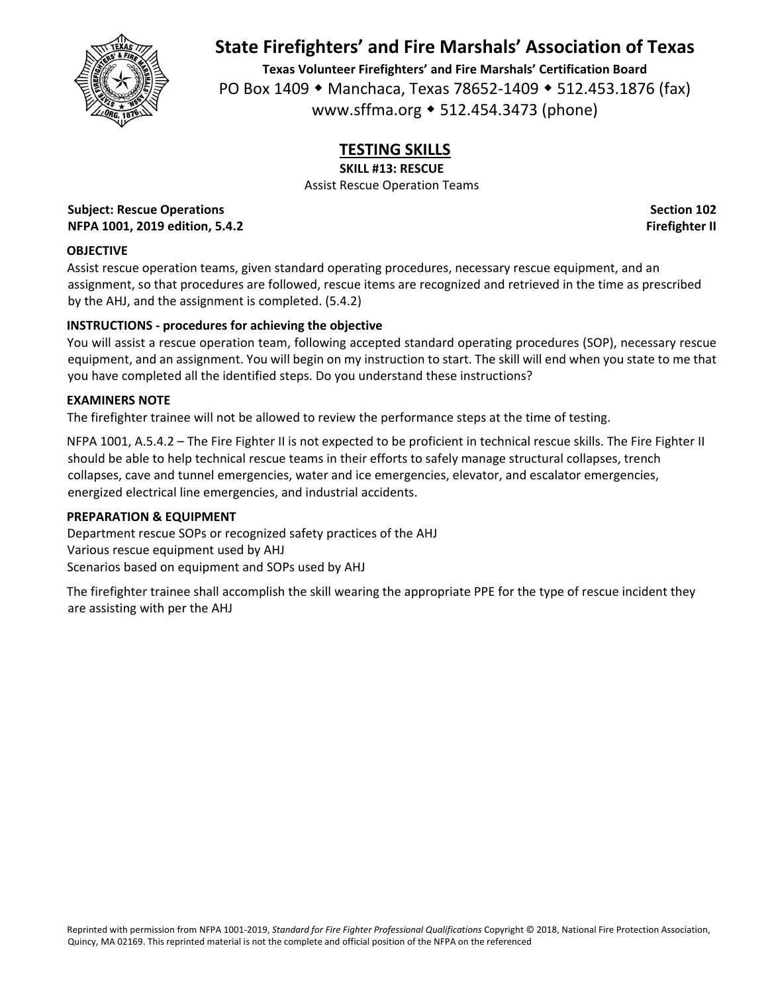

**Texas Volunteer Firefighters' and Fire Marshals' Certification Board** PO Box 1409 • Manchaca, Texas 78652-1409 • 512.453.1876 (fax) www.sffma.org 512.454.3473 (phone)

# **TESTING SKILLS**

**SKILL #13: RESCUE**

Assist Rescue Operation Teams

**Subject: Rescue Operations Section 102 NFPA 1001, 2019 edition, 5.4.2 Firefighter II**

## **OBJECTIVE**

Assist rescue operation teams, given standard operating procedures, necessary rescue equipment, and an assignment, so that procedures are followed, rescue items are recognized and retrieved in the time as prescribed by the AHJ, and the assignment is completed. (5.4.2)

## **INSTRUCTIONS ‐ procedures for achieving the objective**

You will assist a rescue operation team, following accepted standard operating procedures (SOP), necessary rescue equipment, and an assignment. You will begin on my instruction to start. The skill will end when you state to me that you have completed all the identified steps. Do you understand these instructions?

### **EXAMINERS NOTE**

The firefighter trainee will not be allowed to review the performance steps at the time of testing.

NFPA 1001, A.5.4.2 – The Fire Fighter II is not expected to be proficient in technical rescue skills. The Fire Fighter II should be able to help technical rescue teams in their efforts to safely manage structural collapses, trench collapses, cave and tunnel emergencies, water and ice emergencies, elevator, and escalator emergencies, energized electrical line emergencies, and industrial accidents.

## **PREPARATION & EQUIPMENT**

Department rescue SOPs or recognized safety practices of the AHJ Various rescue equipment used by AHJ Scenarios based on equipment and SOPs used by AHJ

The firefighter trainee shall accomplish the skill wearing the appropriate PPE for the type of rescue incident they are assisting with per the AHJ